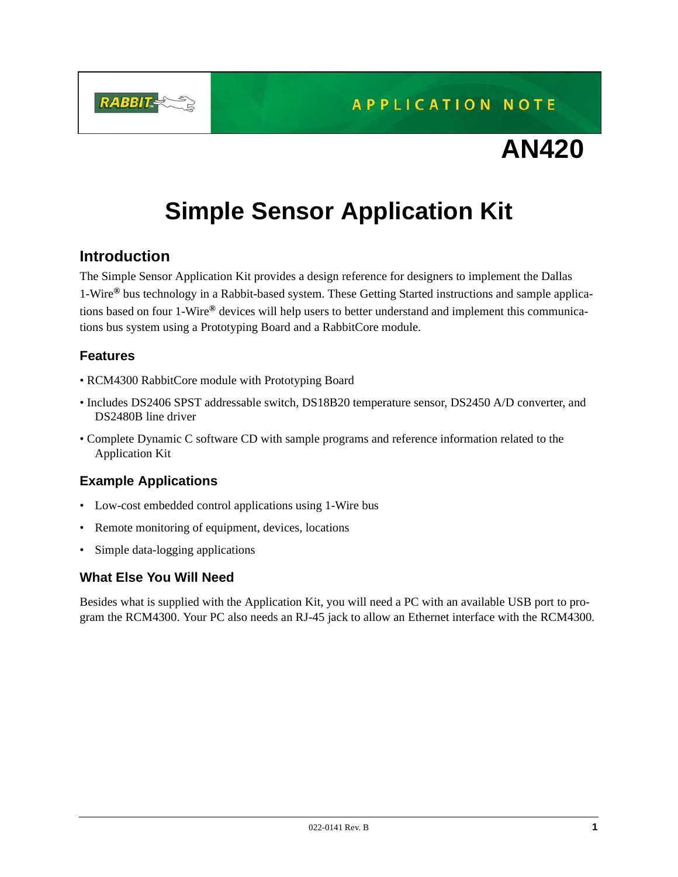**RABBIT** 

**APPLICATION NOTE** 

# **AN420**

# **Simple Sensor Application Kit**

# **Introduction**

The Simple Sensor Application Kit provides a design reference for designers to implement the Dallas 1-Wire*®* bus technology in a Rabbit-based system. These Getting Started instructions and sample applications based on four 1-Wire*®* devices will help users to better understand and implement this communications bus system using a Prototyping Board and a RabbitCore module.

# **Features**

- RCM4300 RabbitCore module with Prototyping Board
- Includes DS2406 SPST addressable switch, DS18B20 temperature sensor, DS2450 A/D converter, and DS2480B line driver
- Complete Dynamic C software CD with sample programs and reference information related to the Application Kit

# **Example Applications**

- Low-cost embedded control applications using 1-Wire bus
- Remote monitoring of equipment, devices, locations
- Simple data-logging applications

# **What Else You Will Need**

Besides what is supplied with the Application Kit, you will need a PC with an available USB port to program the RCM4300. Your PC also needs an RJ-45 jack to allow an Ethernet interface with the RCM4300.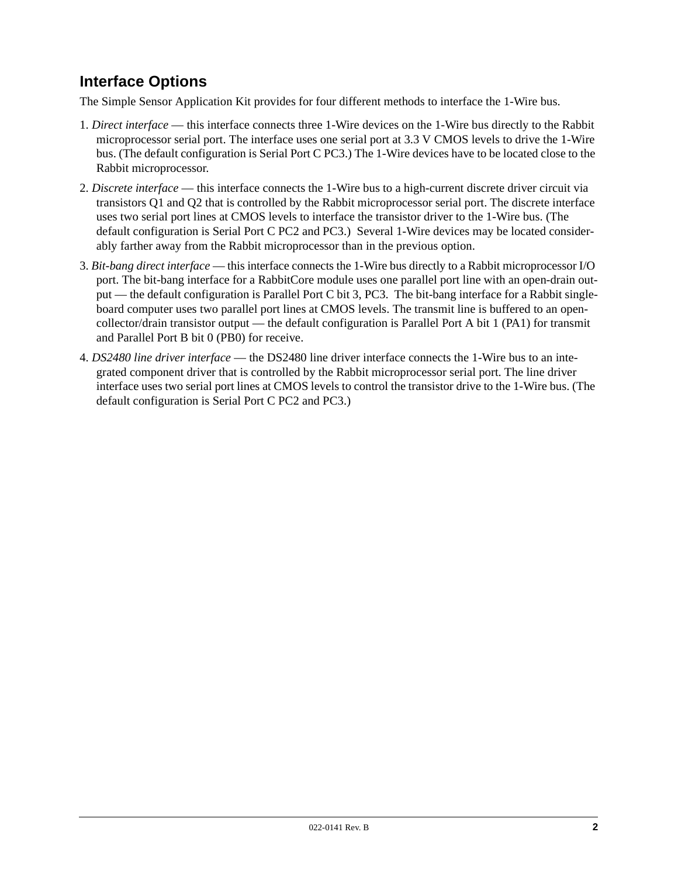# <span id="page-1-0"></span>**Interface Options**

The Simple Sensor Application Kit provides for four different methods to interface the 1-Wire bus.

- 1. *Direct interface* this interface connects three 1-Wire devices on the 1-Wire bus directly to the Rabbit microprocessor serial port. The interface uses one serial port at 3.3 V CMOS levels to drive the 1-Wire bus. (The default configuration is Serial Port C PC3.) The 1-Wire devices have to be located close to the Rabbit microprocessor.
- 2. *Discrete interface* this interface connects the 1-Wire bus to a high-current discrete driver circuit via transistors Q1 and Q2 that is controlled by the Rabbit microprocessor serial port. The discrete interface uses two serial port lines at CMOS levels to interface the transistor driver to the 1-Wire bus. (The default configuration is Serial Port C PC2 and PC3.) Several 1-Wire devices may be located considerably farther away from the Rabbit microprocessor than in the previous option.
- 3. *Bit-bang direct interface* this interface connects the 1-Wire bus directly to a Rabbit microprocessor I/O port. The bit-bang interface for a RabbitCore module uses one parallel port line with an open-drain output — the default configuration is Parallel Port C bit 3, PC3. The bit-bang interface for a Rabbit singleboard computer uses two parallel port lines at CMOS levels. The transmit line is buffered to an opencollector/drain transistor output — the default configuration is Parallel Port A bit 1 (PA1) for transmit and Parallel Port B bit 0 (PB0) for receive.
- 4. *DS2480 line driver interface* the DS2480 line driver interface connects the 1-Wire bus to an integrated component driver that is controlled by the Rabbit microprocessor serial port. The line driver interface uses two serial port lines at CMOS levels to control the transistor drive to the 1-Wire bus. (The default configuration is Serial Port C PC2 and PC3.)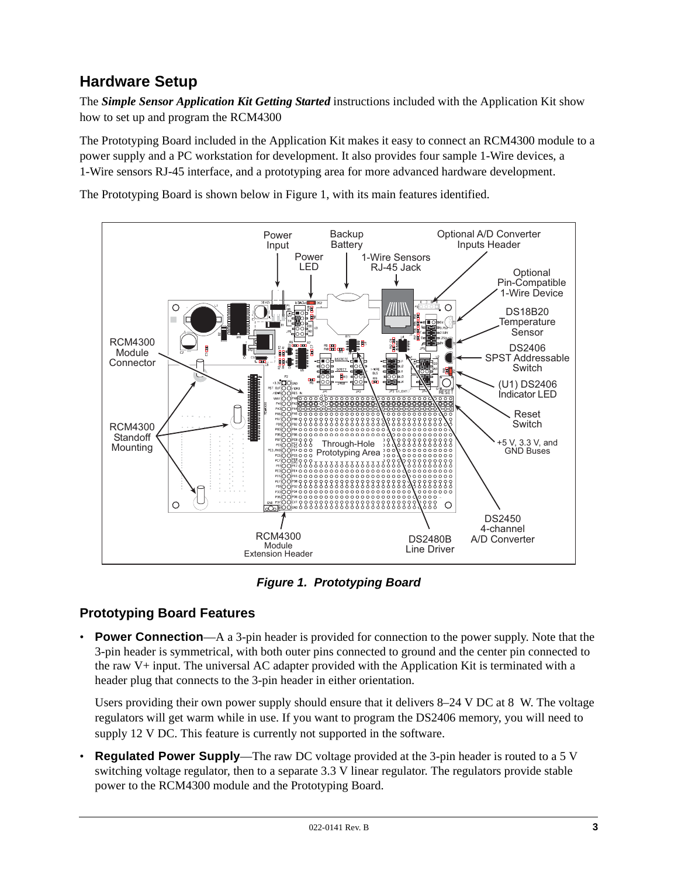# **Hardware Setup**

The *Simple Sensor Application Kit Getting Started* instructions included with the Application Kit show how to set up and program the RCM4300

The Prototyping Board included in the Application Kit makes it easy to connect an RCM4300 module to a power supply and a PC workstation for development. It also provides four sample 1-Wire devices, a 1-Wire sensors RJ-45 interface, and a prototyping area for more advanced hardware development.

The Prototyping Board is shown below in [Figure 1,](#page-2-0) with its main features identified.



*Figure 1. Prototyping Board*

# <span id="page-2-0"></span>**Prototyping Board Features**

• **Power Connection**—A a 3-pin header is provided for connection to the power supply. Note that the 3-pin header is symmetrical, with both outer pins connected to ground and the center pin connected to the raw V+ input. The universal AC adapter provided with the Application Kit is terminated with a header plug that connects to the 3-pin header in either orientation.

Users providing their own power supply should ensure that it delivers 8–24 V DC at 8 W. The voltage regulators will get warm while in use. If you want to program the DS2406 memory, you will need to supply 12 V DC. This feature is currently not supported in the software.

• **Regulated Power Supply**—The raw DC voltage provided at the 3-pin header is routed to a 5 V switching voltage regulator, then to a separate 3.3 V linear regulator. The regulators provide stable power to the RCM4300 module and the Prototyping Board.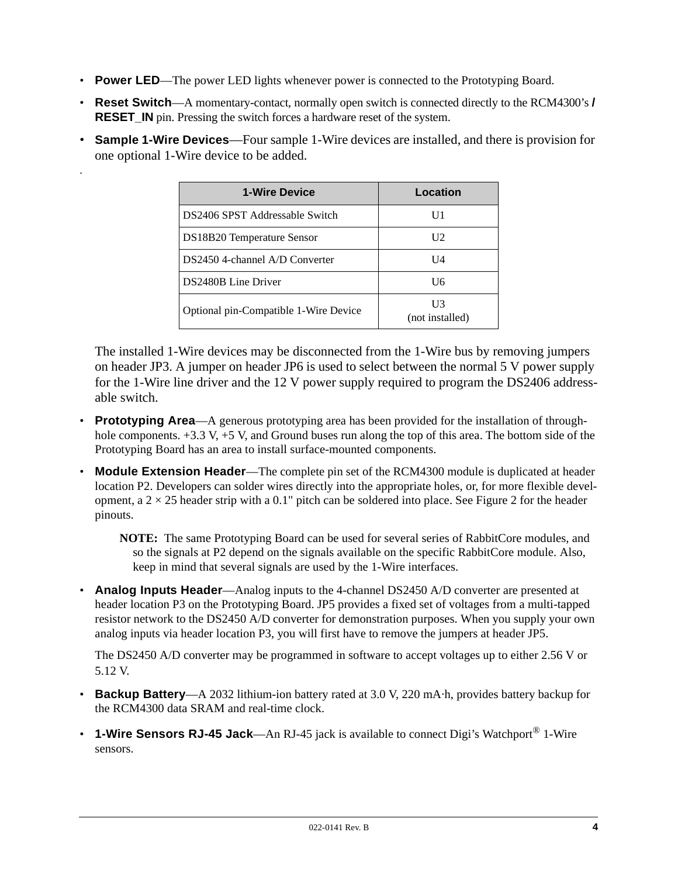• **Power LED**—The power LED lights whenever power is connected to the Prototyping Board.

.

- **Reset Switch**—A momentary-contact, normally open switch is connected directly to the RCM4300's **/ RESET** IN pin. Pressing the switch forces a hardware reset of the system.
- **Sample 1-Wire Devices**—Four sample 1-Wire devices are installed, and there is provision for one optional 1-Wire device to be added.

| <b>1-Wire Device</b>                  | Location              |
|---------------------------------------|-----------------------|
| DS2406 SPST Addressable Switch        |                       |
| DS18B20 Temperature Sensor            | H2.                   |
| DS2450 4-channel A/D Converter        | U4                    |
| DS2480B Line Driver                   | Uб                    |
| Optional pin-Compatible 1-Wire Device | UЗ<br>(not installed) |

The installed 1-Wire devices may be disconnected from the 1-Wire bus by removing jumpers on header JP3. A jumper on header JP6 is used to select between the normal 5 V power supply for the 1-Wire line driver and the 12 V power supply required to program the DS2406 addressable switch.

- **Prototyping Area**—A generous prototyping area has been provided for the installation of throughhole components.  $+3.3$  V,  $+5$  V, and Ground buses run along the top of this area. The bottom side of the Prototyping Board has an area to install surface-mounted components.
- **Module Extension Header**—The complete pin set of the RCM4300 module is duplicated at header location P2. Developers can solder wires directly into the appropriate holes, or, for more flexible development, a  $2 \times 25$  header strip with a 0.1" pitch can be soldered into place. See [Figure 2](#page-4-0) for the header pinouts.

**NOTE:** The same Prototyping Board can be used for several series of RabbitCore modules, and so the signals at P2 depend on the signals available on the specific RabbitCore module. Also, keep in mind that several signals are used by the 1-Wire interfaces.

• **Analog Inputs Header**—Analog inputs to the 4-channel DS2450 A/D converter are presented at header location P3 on the Prototyping Board. JP5 provides a fixed set of voltages from a multi-tapped resistor network to the DS2450 A/D converter for demonstration purposes. When you supply your own analog inputs via header location P3, you will first have to remove the jumpers at header JP5.

The DS2450 A/D converter may be programmed in software to accept voltages up to either 2.56 V or 5.12 V.

- **Backup Battery**—A 2032 lithium-ion battery rated at 3.0 V, 220 mA·h, provides battery backup for the RCM4300 data SRAM and real-time clock.
- **1-Wire Sensors RJ-45 Jack**—An RJ-45 jack is available to connect Digi's Watchport<sup>®</sup> 1-Wire sensors.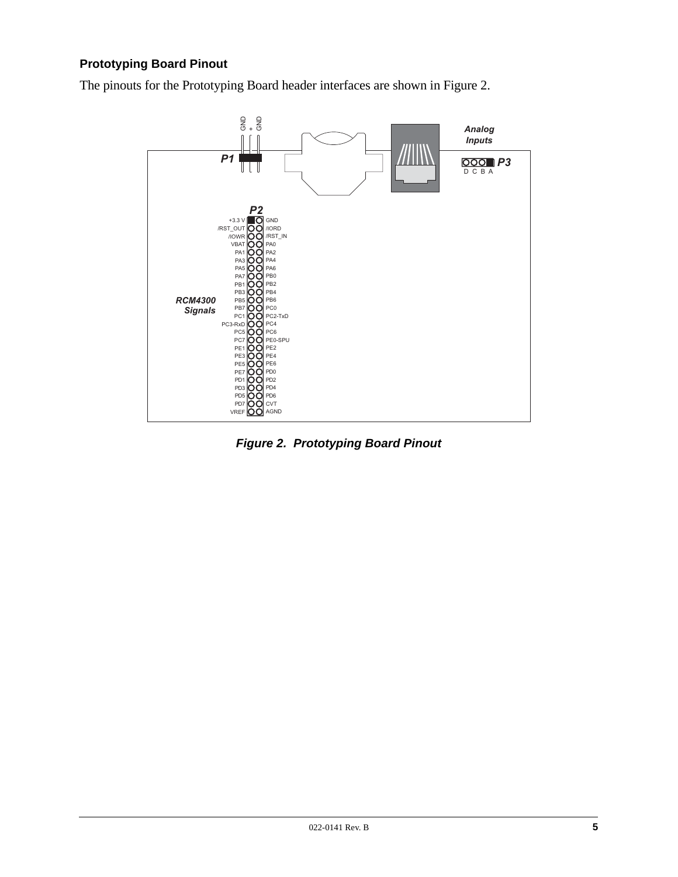# **Prototyping Board Pinout**

The pinouts for the Prototyping Board header interfaces are shown in [Figure 2.](#page-4-0)



<span id="page-4-0"></span>*Figure 2. Prototyping Board Pinout*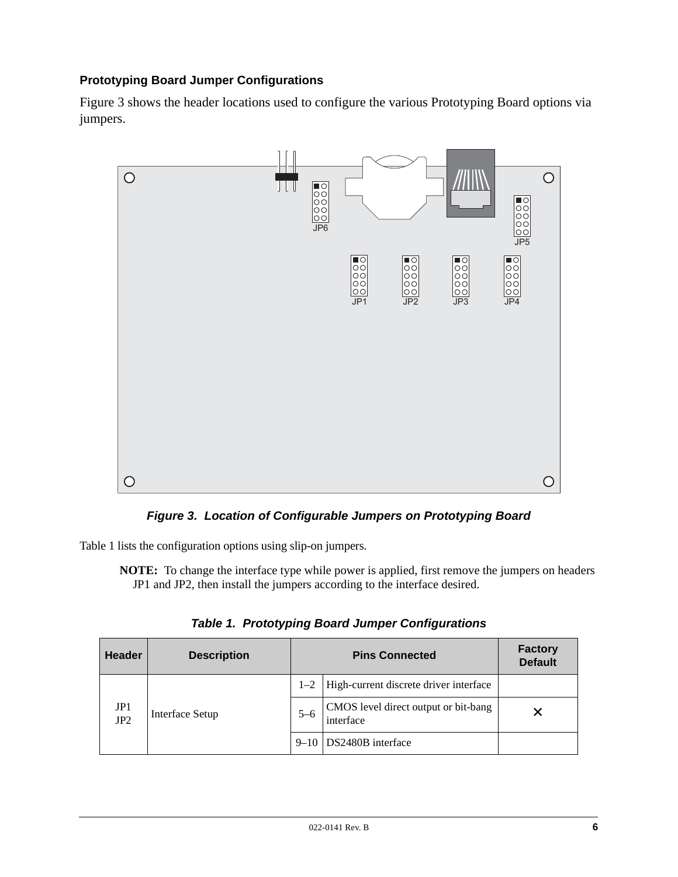# **Prototyping Board Jumper Configurations**

[Figure 3](#page-5-0) shows the header locations used to configure the various Prototyping Board options via jumpers.



*Figure 3. Location of Configurable Jumpers on Prototyping Board*

<span id="page-5-0"></span>[Table 1](#page-5-1) lists the configuration options using slip-on jumpers.

**NOTE:** To change the interface type while power is applied, first remove the jumpers on headers JP1 and JP2, then install the jumpers according to the interface desired.

<span id="page-5-1"></span>

| <b>Header</b> | <b>Description</b> | <b>Pins Connected</b> |                                                   | <b>Factory</b><br><b>Default</b> |
|---------------|--------------------|-----------------------|---------------------------------------------------|----------------------------------|
|               |                    | $1 - 2$               | High-current discrete driver interface            |                                  |
| JP1<br>JP2    | Interface Setup    | $5 - 6$               | CMOS level direct output or bit-bang<br>interface |                                  |
|               |                    |                       | 9–10 DS2480B interface                            |                                  |

*Table 1. Prototyping Board Jumper Configurations*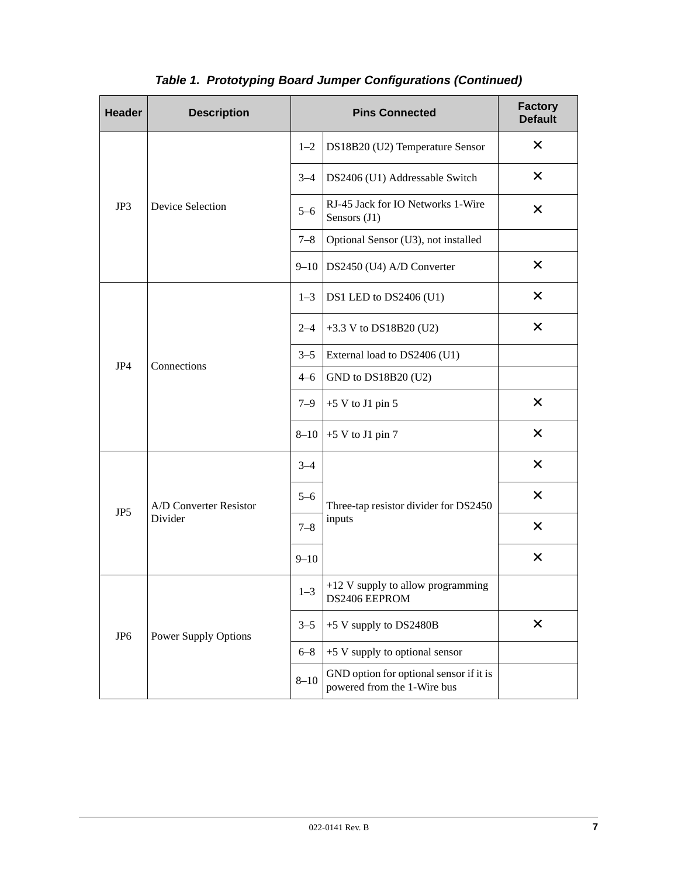| <b>Header</b>   | <b>Description</b>                | <b>Pins Connected</b> |                                                                        | <b>Factory</b><br><b>Default</b> |
|-----------------|-----------------------------------|-----------------------|------------------------------------------------------------------------|----------------------------------|
| JP3             | Device Selection                  | $1 - 2$               | DS18B20 (U2) Temperature Sensor                                        | $\times$                         |
|                 |                                   | $3 - 4$               | DS2406 (U1) Addressable Switch                                         | $\times$                         |
|                 |                                   | $5 - 6$               | RJ-45 Jack for IO Networks 1-Wire<br>Sensors (J1)                      | X                                |
|                 |                                   | $7 - 8$               | Optional Sensor (U3), not installed                                    |                                  |
|                 |                                   | $9 - 10$              | DS2450 (U4) A/D Converter                                              | $\times$                         |
|                 |                                   | $1 - 3$               | DS1 LED to DS2406 (U1)                                                 | $\times$                         |
|                 |                                   | $2 - 4$               | +3.3 V to DS18B20 (U2)                                                 | $\times$                         |
| JP4             | Connections                       | $3 - 5$               | External load to DS2406 (U1)                                           |                                  |
|                 |                                   | $4 - 6$               | GND to DS18B20 (U2)                                                    |                                  |
|                 |                                   | $7 - 9$               | $+5$ V to J1 pin 5                                                     | $\times$                         |
|                 |                                   | $8 - 10$              | $+5$ V to J1 pin 7                                                     | $\times$                         |
|                 | A/D Converter Resistor<br>Divider | $3 - 4$               |                                                                        | $\times$                         |
| JP5             |                                   | $5 - 6$               | Three-tap resistor divider for DS2450<br>inputs                        | $\times$                         |
|                 |                                   | $7 - 8$               |                                                                        | $\times$                         |
|                 |                                   | $9 - 10$              |                                                                        | $\times$                         |
| JP <sub>6</sub> | <b>Power Supply Options</b>       | $1 - 3$               | $+12$ V supply to allow programming<br>DS2406 EEPROM                   |                                  |
|                 |                                   | $3 - 5$               | +5 V supply to DS2480B                                                 | $\times$                         |
|                 |                                   | $6 - 8$               | +5 V supply to optional sensor                                         |                                  |
|                 |                                   | $8 - 10$              | GND option for optional sensor if it is<br>powered from the 1-Wire bus |                                  |

# *Table 1. Prototyping Board Jumper Configurations (Continued)*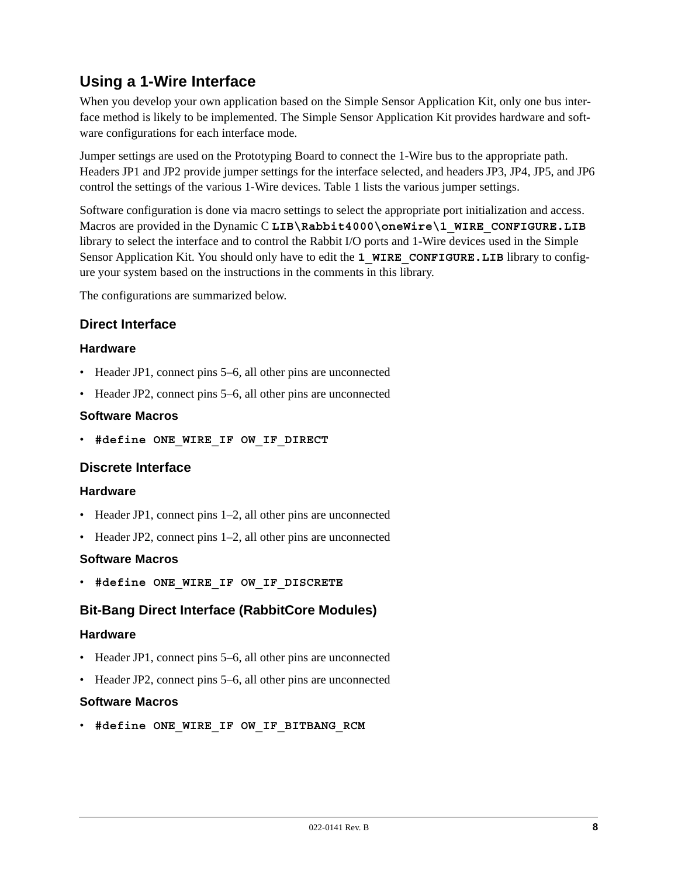# **Using a 1-Wire Interface**

When you develop your own application based on the Simple Sensor Application Kit, only one bus interface method is likely to be implemented. The Simple Sensor Application Kit provides hardware and software configurations for each interface mode.

Jumper settings are used on the Prototyping Board to connect the 1-Wire bus to the appropriate path. Headers JP1 and JP2 provide jumper settings for the interface selected, and headers JP3, JP4, JP5, and JP6 control the settings of the various 1-Wire devices. [Table 1](#page-5-1) lists the various jumper settings.

Software configuration is done via macro settings to select the appropriate port initialization and access. Macros are provided in the Dynamic C LIB\Rabbit4000\oneWire\1 WIRE CONFIGURE.LIB library to select the interface and to control the Rabbit I/O ports and 1-Wire devices used in the Simple Sensor Application Kit. You should only have to edit the 1 WIRE CONFIGURE. LIB library to configure your system based on the instructions in the comments in this library.

The configurations are summarized below.

# **Direct Interface**

### **Hardware**

- Header JP1, connect pins 5–6, all other pins are unconnected
- Header JP2, connect pins 5–6, all other pins are unconnected

### **Software Macros**

• **#define ONE\_WIRE\_IF OW\_IF\_DIRECT**

# **Discrete Interface**

#### **Hardware**

- Header JP1, connect pins 1–2, all other pins are unconnected
- Header JP2, connect pins 1–2, all other pins are unconnected

#### **Software Macros**

• **#define ONE\_WIRE\_IF OW\_IF\_DISCRETE**

# **Bit-Bang Direct Interface (RabbitCore Modules)**

#### **Hardware**

- Header JP1, connect pins 5–6, all other pins are unconnected
- Header JP2, connect pins 5–6, all other pins are unconnected

#### **Software Macros**

• **#define ONE\_WIRE\_IF OW\_IF\_BITBANG\_RCM**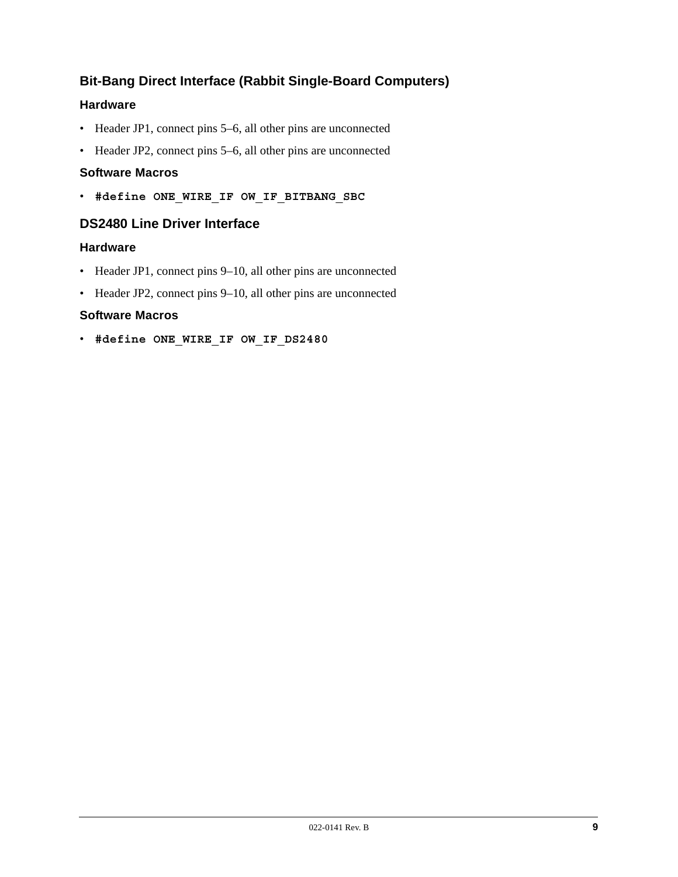# **Bit-Bang Direct Interface (Rabbit Single-Board Computers)**

# **Hardware**

- Header JP1, connect pins 5–6, all other pins are unconnected
- Header JP2, connect pins 5–6, all other pins are unconnected

# **Software Macros**

• **#define ONE\_WIRE\_IF OW\_IF\_BITBANG\_SBC**

# **DS2480 Line Driver Interface**

# **Hardware**

- Header JP1, connect pins 9–10, all other pins are unconnected
- Header JP2, connect pins 9–10, all other pins are unconnected

# **Software Macros**

• **#define ONE\_WIRE\_IF OW\_IF\_DS2480**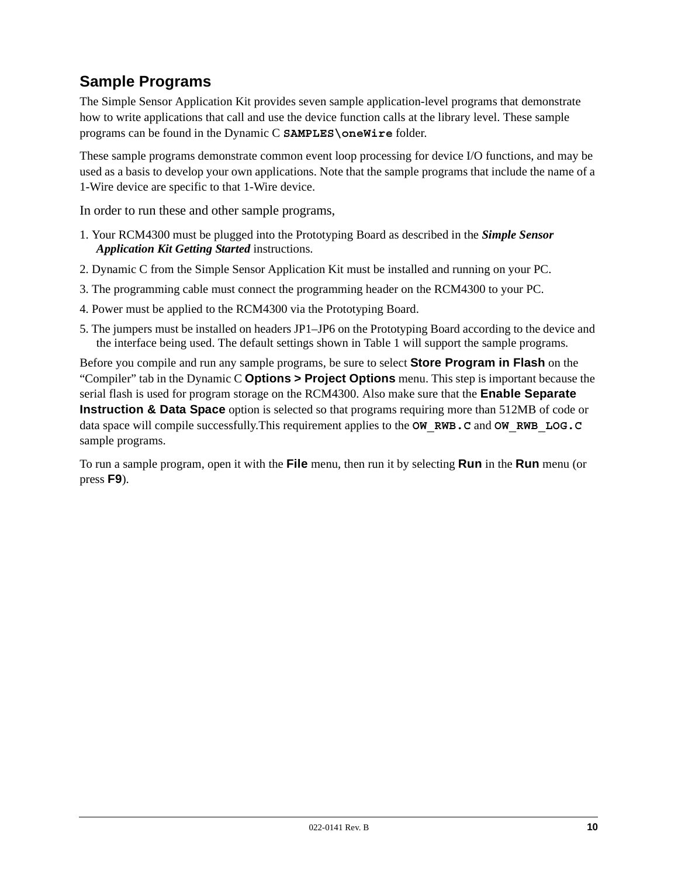# **Sample Programs**

The Simple Sensor Application Kit provides seven sample application-level programs that demonstrate how to write applications that call and use the device function calls at the library level. These sample programs can be found in the Dynamic C **SAMPLES\oneWire** folder.

These sample programs demonstrate common event loop processing for device I/O functions, and may be used as a basis to develop your own applications. Note that the sample programs that include the name of a 1-Wire device are specific to that 1-Wire device.

In order to run these and other sample programs,

- 1. Your RCM4300 must be plugged into the Prototyping Board as described in the *Simple Sensor Application Kit Getting Started* instructions.
- 2. Dynamic C from the Simple Sensor Application Kit must be installed and running on your PC.
- 3. The programming cable must connect the programming header on the RCM4300 to your PC.
- 4. Power must be applied to the RCM4300 via the Prototyping Board.
- 5. The jumpers must be installed on headers JP1–JP6 on the Prototyping Board according to the device and the interface being used. The default settings shown in [Table 1](#page-5-1) will support the sample programs.

Before you compile and run any sample programs, be sure to select **Store Program in Flash** on the "Compiler" tab in the Dynamic C **Options > Project Options** menu. This step is important because the serial flash is used for program storage on the RCM4300. Also make sure that the **Enable Separate Instruction & Data Space** option is selected so that programs requiring more than 512MB of code or data space will compile successfully.This requirement applies to the **OW\_RWB.C** and **OW\_RWB\_LOG.C** sample programs.

To run a sample program, open it with the **File** menu, then run it by selecting **Run** in the **Run** menu (or press **F9**).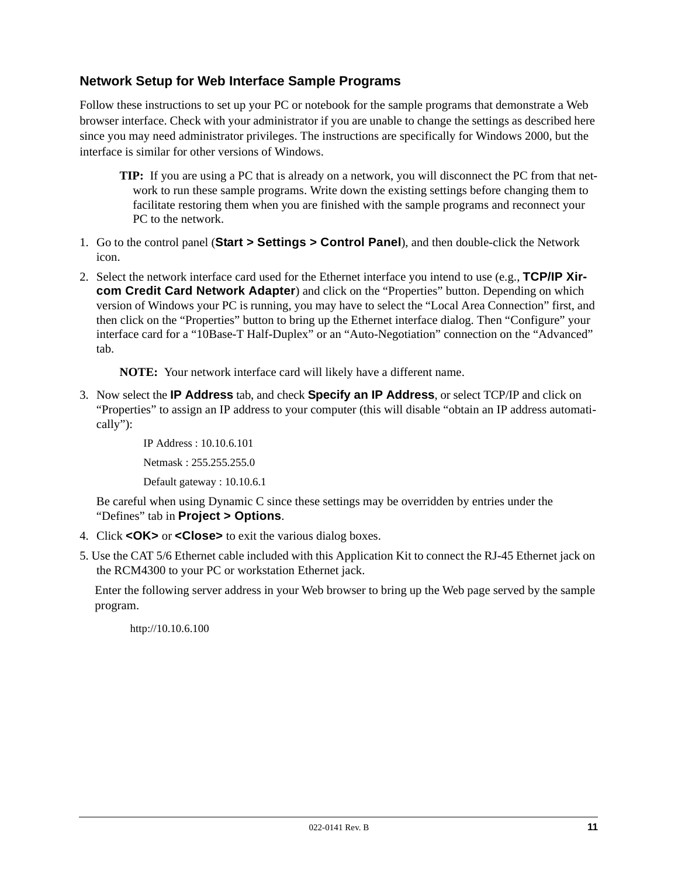# **Network Setup for Web Interface Sample Programs**

Follow these instructions to set up your PC or notebook for the sample programs that demonstrate a Web browser interface. Check with your administrator if you are unable to change the settings as described here since you may need administrator privileges. The instructions are specifically for Windows 2000, but the interface is similar for other versions of Windows.

- **TIP:** If you are using a PC that is already on a network, you will disconnect the PC from that network to run these sample programs. Write down the existing settings before changing them to facilitate restoring them when you are finished with the sample programs and reconnect your PC to the network.
- 1. Go to the control panel (**Start > Settings > Control Panel**), and then double-click the Network icon.
- 2. Select the network interface card used for the Ethernet interface you intend to use (e.g., **TCP/IP Xircom Credit Card Network Adapter**) and click on the "Properties" button. Depending on which version of Windows your PC is running, you may have to select the "Local Area Connection" first, and then click on the "Properties" button to bring up the Ethernet interface dialog. Then "Configure" your interface card for a "10Base-T Half-Duplex" or an "Auto-Negotiation" connection on the "Advanced" tab.

**NOTE:** Your network interface card will likely have a different name.

3. Now select the **IP Address** tab, and check **Specify an IP Address**, or select TCP/IP and click on "Properties" to assign an IP address to your computer (this will disable "obtain an IP address automatically"):

> IP Address : 10.10.6.101 Netmask : 255.255.255.0 Default gateway : 10.10.6.1

Be careful when using Dynamic C since these settings may be overridden by entries under the "Defines" tab in **Project > Options**.

- 4. Click **<OK>** or **<Close>** to exit the various dialog boxes.
- 5. Use the CAT 5/6 Ethernet cable included with this Application Kit to connect the RJ-45 Ethernet jack on the RCM4300 to your PC or workstation Ethernet jack.

Enter the following server address in your Web browser to bring up the Web page served by the sample program.

http://10.10.6.100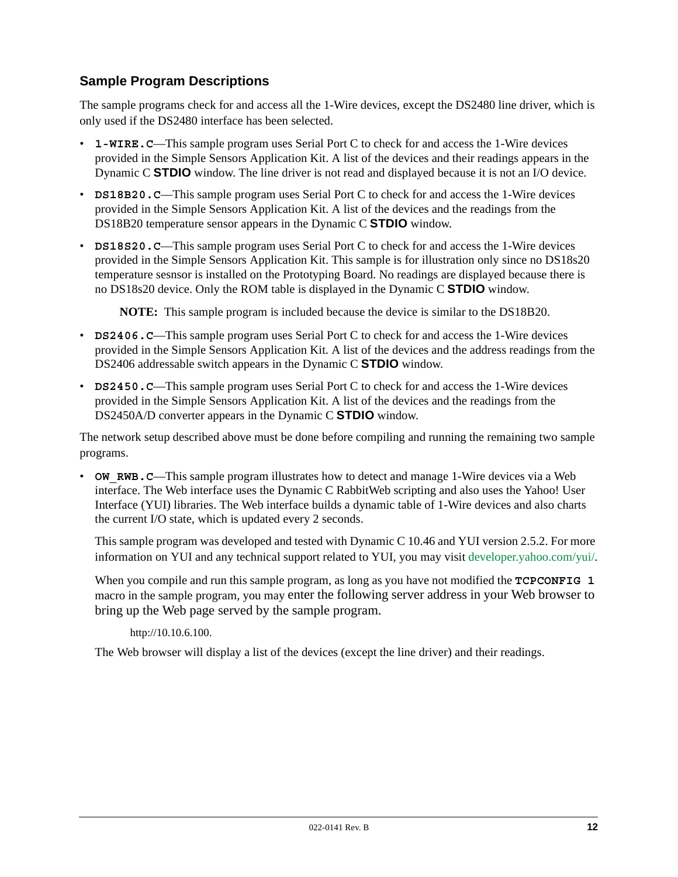# **Sample Program Descriptions**

The sample programs check for and access all the 1-Wire devices, except the DS2480 line driver, which is only used if the DS2480 interface has been selected.

- **1-WIRE.C**—This sample program uses Serial Port C to check for and access the 1-Wire devices provided in the Simple Sensors Application Kit. A list of the devices and their readings appears in the Dynamic C **STDIO** window. The line driver is not read and displayed because it is not an I/O device.
- **DS18B20. C—This sample program uses Serial Port C to check for and access the 1-Wire devices** provided in the Simple Sensors Application Kit. A list of the devices and the readings from the DS18B20 temperature sensor appears in the Dynamic C **STDIO** window.
- **DS18S20. C—This sample program uses Serial Port C to check for and access the 1-Wire devices** provided in the Simple Sensors Application Kit. This sample is for illustration only since no DS18s20 temperature sesnsor is installed on the Prototyping Board. No readings are displayed because there is no DS18s20 device. Only the ROM table is displayed in the Dynamic C **STDIO** window.

**NOTE:** This sample program is included because the device is similar to the DS18B20.

- **DS2406.C—This sample program uses Serial Port C to check for and access the 1-Wire devices** provided in the Simple Sensors Application Kit. A list of the devices and the address readings from the DS2406 addressable switch appears in the Dynamic C **STDIO** window.
- **DS2450. C—This sample program uses Serial Port C to check for and access the 1-Wire devices** provided in the Simple Sensors Application Kit. A list of the devices and the readings from the DS2450A/D converter appears in the Dynamic C **STDIO** window.

The network setup described above must be done before compiling and running the remaining two sample programs.

• **OW** RWB.C—This sample program illustrates how to detect and manage 1-Wire devices via a Web interface. The Web interface uses the Dynamic C RabbitWeb scripting and also uses the Yahoo! User Interface (YUI) libraries. The Web interface builds a dynamic table of 1-Wire devices and also charts the current I/O state, which is updated every 2 seconds.

This sample program was developed and tested with Dynamic C 10.46 and YUI version 2.5.2. For more information on YUI and any technical support related to YUI, you may visit [developer.yahoo.com/yui/](http://developer.yahoo.com/yui/).

When you compile and run this sample program, as long as you have not modified the **TCPCONFIG** 1 macro in the sample program, you may enter the following server address in your Web browser to bring up the Web page served by the sample program.

http://10.10.6.100.

The Web browser will display a list of the devices (except the line driver) and their readings.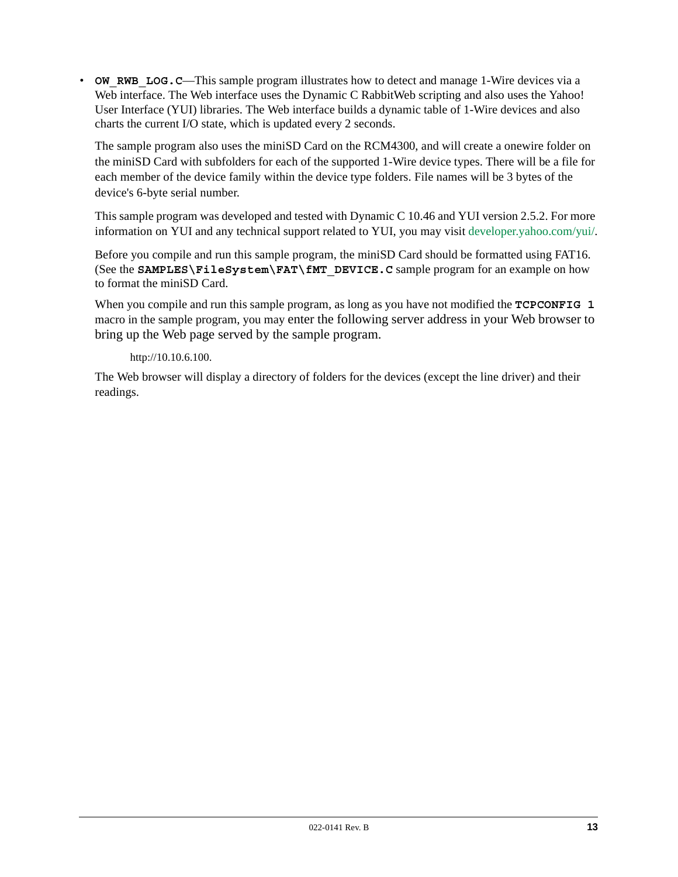• **OW\_RWB\_LOG.C—This sample program illustrates how to detect and manage 1-Wire devices via a** Web interface. The Web interface uses the Dynamic C RabbitWeb scripting and also uses the Yahoo! User Interface (YUI) libraries. The Web interface builds a dynamic table of 1-Wire devices and also charts the current I/O state, which is updated every 2 seconds.

The sample program also uses the miniSD Card on the RCM4300, and will create a onewire folder on the miniSD Card with subfolders for each of the supported 1-Wire device types. There will be a file for each member of the device family within the device type folders. File names will be 3 bytes of the device's 6-byte serial number.

This sample program was developed and tested with Dynamic C 10.46 and YUI version 2.5.2. For more information on YUI and any technical support related to YUI, you may visit [developer.yahoo.com/yui/](http://developer.yahoo.com/yui/).

Before you compile and run this sample program, the miniSD Card should be formatted using FAT16. (See the **SAMPLES\FileSystem\FAT\fMT\_DEVICE.C** sample program for an example on how to format the miniSD Card.

When you compile and run this sample program, as long as you have not modified the **TCPCONFIG 1** macro in the sample program, you may enter the following server address in your Web browser to bring up the Web page served by the sample program.

### http://10.10.6.100.

The Web browser will display a directory of folders for the devices (except the line driver) and their readings.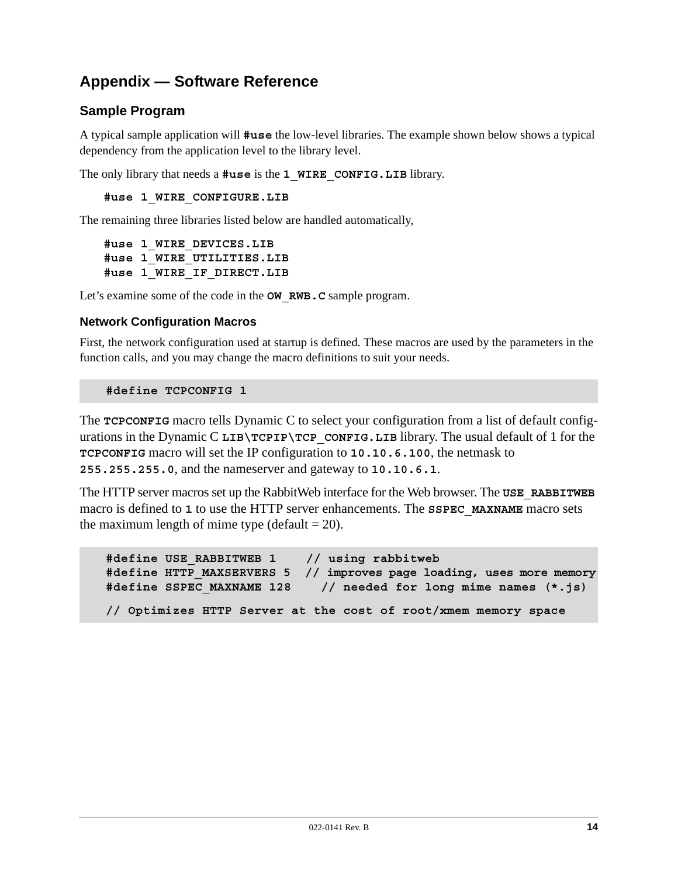# **Appendix — Software Reference**

# **Sample Program**

A typical sample application will **#use** the low-level libraries. The example shown below shows a typical dependency from the application level to the library level.

The only library that needs a **#use** is the **1\_WIRE\_CONFIG.LIB** library.

**#use 1\_WIRE\_CONFIGURE.LIB**

The remaining three libraries listed below are handled automatically,

**#use 1\_WIRE\_DEVICES.LIB #use 1\_WIRE\_UTILITIES.LIB #use 1\_WIRE\_IF\_DIRECT.LIB**

Let's examine some of the code in the **OW\_RWB.C** sample program.

### **Network Configuration Macros**

First, the network configuration used at startup is defined. These macros are used by the parameters in the function calls, and you may change the macro definitions to suit your needs.

#### **#define TCPCONFIG 1**

The **TCPCONFIG** macro tells Dynamic C to select your configuration from a list of default configurations in the Dynamic C LIB\TCPIP\TCP\_CONFIG.LIB library. The usual default of 1 for the **TCPCONFIG** macro will set the IP configuration to **10.10.6.100**, the netmask to **255.255.255.0**, and the nameserver and gateway to **10.10.6.1**.

The HTTP server macros set up the RabbitWeb interface for the Web browser. The **USE\_RABBITWEB** macro is defined to **1** to use the HTTP server enhancements. The **SSPEC\_MAXNAME** macro sets the maximum length of mime type (default  $= 20$ ).

```
#define USE_RABBITWEB 1 // using rabbitweb
#define HTTP_MAXSERVERS 5 // improves page loading, uses more memory
#define SSPEC_MAXNAME 128 // needed for long mime names (*.js)
// Optimizes HTTP Server at the cost of root/xmem memory space
```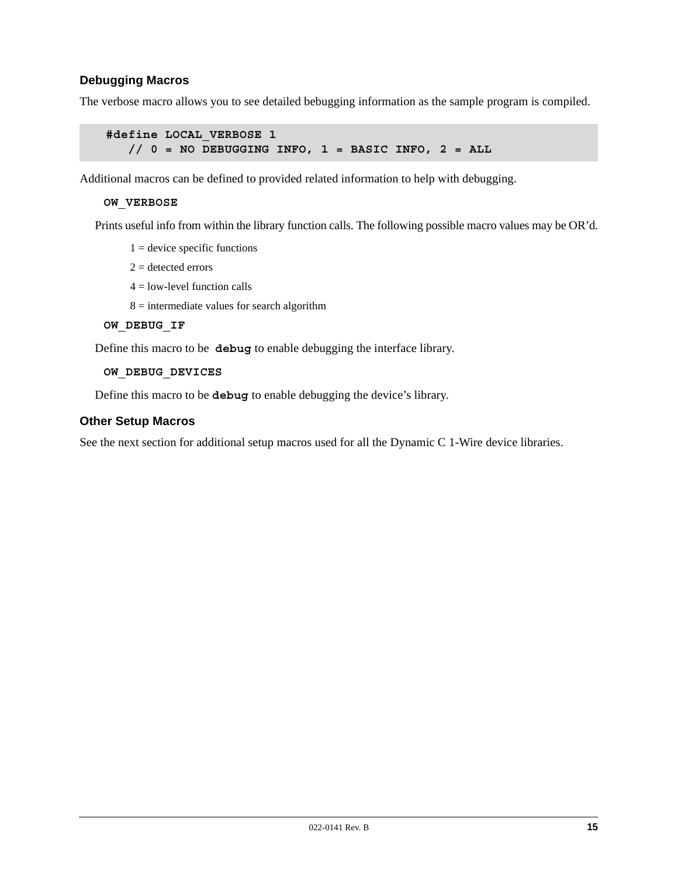# **Debugging Macros**

The verbose macro allows you to see detailed bebugging information as the sample program is compiled.

```
#define LOCAL_VERBOSE 1
   // 0 = NO DEBUGGING INFO, 1 = BASIC INFO, 2 = ALL
```
Additional macros can be defined to provided related information to help with debugging.

#### **OW\_VERBOSE**

Prints useful info from within the library function calls. The following possible macro values may be OR'd.

- $1 =$  device specific functions
- $2 =$  detected errors
- $4 =$ low-level function calls
- $8 =$  intermediate values for search algorithm

#### **OW\_DEBUG\_IF**

Define this macro to be **debug** to enable debugging the interface library.

#### **OW\_DEBUG\_DEVICES**

Define this macro to be **debug** to enable debugging the device's library.

#### **Other Setup Macros**

See the next section for additional setup macros used for all the Dynamic C 1-Wire device libraries.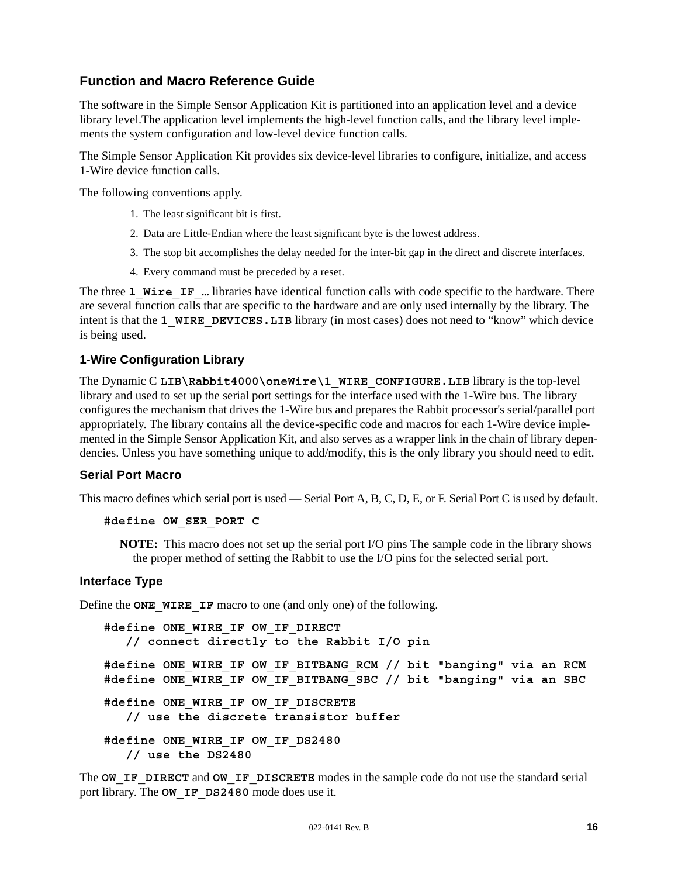# **Function and Macro Reference Guide**

The software in the Simple Sensor Application Kit is partitioned into an application level and a device library level.The application level implements the high-level function calls, and the library level implements the system configuration and low-level device function calls.

The Simple Sensor Application Kit provides six device-level libraries to configure, initialize, and access 1-Wire device function calls.

The following conventions apply.

- 1. The least significant bit is first.
- 2. Data are Little-Endian where the least significant byte is the lowest address.
- 3. The stop bit accomplishes the delay needed for the inter-bit gap in the direct and discrete interfaces.
- 4. Every command must be preceded by a reset.

The three 1 Wire IF ... libraries have identical function calls with code specific to the hardware. There are several function calls that are specific to the hardware and are only used internally by the library. The intent is that the **1 WIRE DEVICES. LIB** library (in most cases) does not need to "know" which device is being used.

### **1-Wire Configuration Library**

The Dynamic C LIB\Rabbit4000\oneWire\1\_WIRE\_CONFIGURE.LIB library is the top-level library and used to set up the serial port settings for the interface used with the 1-Wire bus. The library configures the mechanism that drives the 1-Wire bus and prepares the Rabbit processor's serial/parallel port appropriately. The library contains all the device-specific code and macros for each 1-Wire device implemented in the Simple Sensor Application Kit, and also serves as a wrapper link in the chain of library dependencies. Unless you have something unique to add/modify, this is the only library you should need to edit.

### **Serial Port Macro**

This macro defines which serial port is used — Serial Port A, B, C, D, E, or F. Serial Port C is used by default.

#### **#define OW\_SER\_PORT C**

**NOTE:** This macro does not set up the serial port I/O pins The sample code in the library shows the proper method of setting the Rabbit to use the I/O pins for the selected serial port.

#### **Interface Type**

Define the **ONE** WIRE IF macro to one (and only one) of the following.

```
#define ONE_WIRE_IF OW_IF_DIRECT 
   // connect directly to the Rabbit I/O pin
#define ONE_WIRE_IF OW_IF_BITBANG_RCM // bit "banging" via an RCM
#define ONE_WIRE_IF OW_IF_BITBANG_SBC // bit "banging" via an SBC
#define ONE_WIRE_IF OW_IF_DISCRETE
   // use the discrete transistor buffer
#define ONE_WIRE_IF OW_IF_DS2480
   // use the DS2480
```
The **OW IF DIRECT** and **OW IF DISCRETE** modes in the sample code do not use the standard serial port library. The **OW IF DS2480** mode does use it.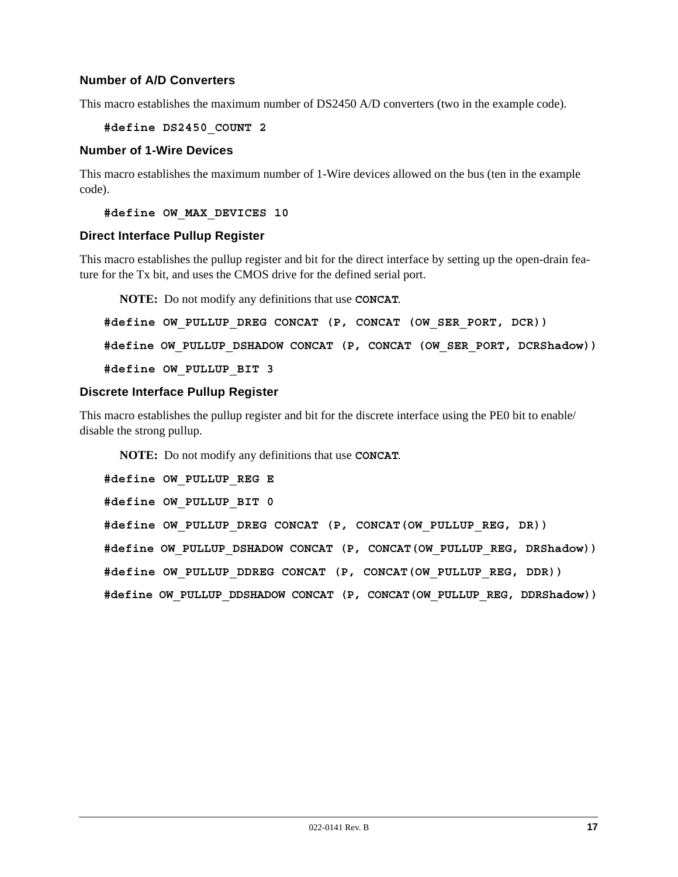# **Number of A/D Converters**

This macro establishes the maximum number of DS2450 A/D converters (two in the example code).

#### **#define DS2450\_COUNT 2**

#### **Number of 1-Wire Devices**

This macro establishes the maximum number of 1-Wire devices allowed on the bus (ten in the example code).

**#define OW\_MAX\_DEVICES 10**

#### **Direct Interface Pullup Register**

This macro establishes the pullup register and bit for the direct interface by setting up the open-drain feature for the Tx bit, and uses the CMOS drive for the defined serial port.

**NOTE:** Do not modify any definitions that use **CONCAT**.

```
#define OW_PULLUP_DREG CONCAT (P, CONCAT (OW_SER_PORT, DCR))
#define OW_PULLUP_DSHADOW CONCAT (P, CONCAT (OW_SER_PORT, DCRShadow))
#define OW_PULLUP_BIT 3
```
#### **Discrete Interface Pullup Register**

This macro establishes the pullup register and bit for the discrete interface using the PE0 bit to enable/ disable the strong pullup.

**NOTE:** Do not modify any definitions that use **CONCAT**.

```
#define OW_PULLUP_REG E
#define OW_PULLUP_BIT 0
#define OW_PULLUP_DREG CONCAT (P, CONCAT(OW_PULLUP_REG, DR))
#define OW_PULLUP_DSHADOW CONCAT (P, CONCAT(OW_PULLUP_REG, DRShadow))
#define OW_PULLUP_DDREG CONCAT (P, CONCAT(OW_PULLUP_REG, DDR))
#define OW_PULLUP_DDSHADOW CONCAT (P, CONCAT(OW_PULLUP_REG, DDRShadow))
```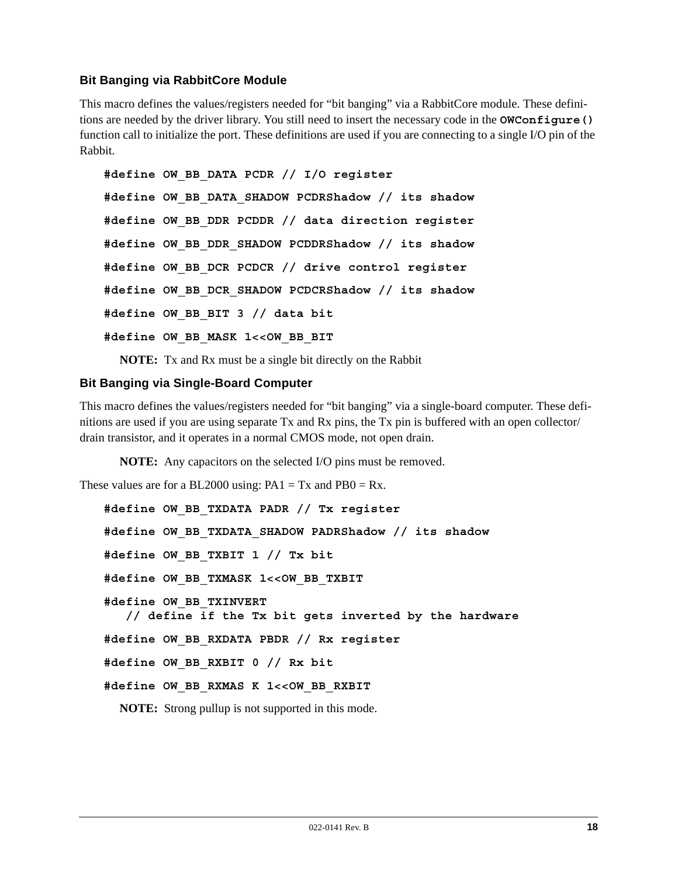# **Bit Banging via RabbitCore Module**

This macro defines the values/registers needed for "bit banging" via a RabbitCore module. These definitions are needed by the driver library. You still need to insert the necessary code in the **OWConfigure()** function call to initialize the port. These definitions are used if you are connecting to a single I/O pin of the Rabbit.

```
#define OW_BB_DATA PCDR // I/O register
#define OW_BB_DATA_SHADOW PCDRShadow // its shadow
#define OW_BB_DDR PCDDR // data direction register
#define OW_BB_DDR_SHADOW PCDDRShadow // its shadow
#define OW_BB_DCR PCDCR // drive control register
#define OW_BB_DCR_SHADOW PCDCRShadow // its shadow
#define OW_BB_BIT 3 // data bit
#define OW_BB_MASK 1<<OW_BB_BIT
```
**NOTE:** Tx and Rx must be a single bit directly on the Rabbit

### **Bit Banging via Single-Board Computer**

This macro defines the values/registers needed for "bit banging" via a single-board computer. These definitions are used if you are using separate Tx and Rx pins, the Tx pin is buffered with an open collector/ drain transistor, and it operates in a normal CMOS mode, not open drain.

**NOTE:** Any capacitors on the selected I/O pins must be removed.

These values are for a BL2000 using:  $PA1 = Tx$  and  $PB0 = Rx$ .

```
#define OW_BB_TXDATA PADR // Tx register
#define OW_BB_TXDATA_SHADOW PADRShadow // its shadow
#define OW_BB_TXBIT 1 // Tx bit
#define OW_BB_TXMASK 1<<OW_BB_TXBIT
#define OW_BB_TXINVERT
    // define if the Tx bit gets inverted by the hardware
#define OW_BB_RXDATA PBDR // Rx register
#define OW_BB_RXBIT 0 // Rx bit
#define OW_BB_RXMAS K 1<<OW_BB_RXBIT
```
**NOTE:** Strong pullup is not supported in this mode.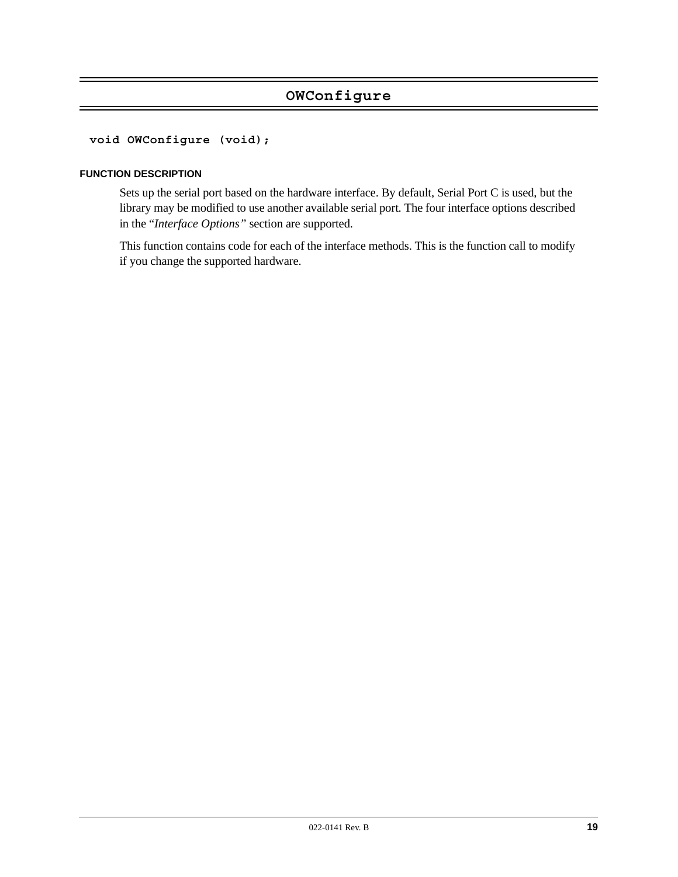# **OWConfigure**

### **void OWConfigure (void);**

#### **FUNCTION DESCRIPTION**

Sets up the serial port based on the hardware interface. By default, Serial Port C is used, but the library may be modified to use another available serial port. The four interface options described in the "*[Interface Options"](#page-1-0)* section are supported.

This function contains code for each of the interface methods. This is the function call to modify if you change the supported hardware.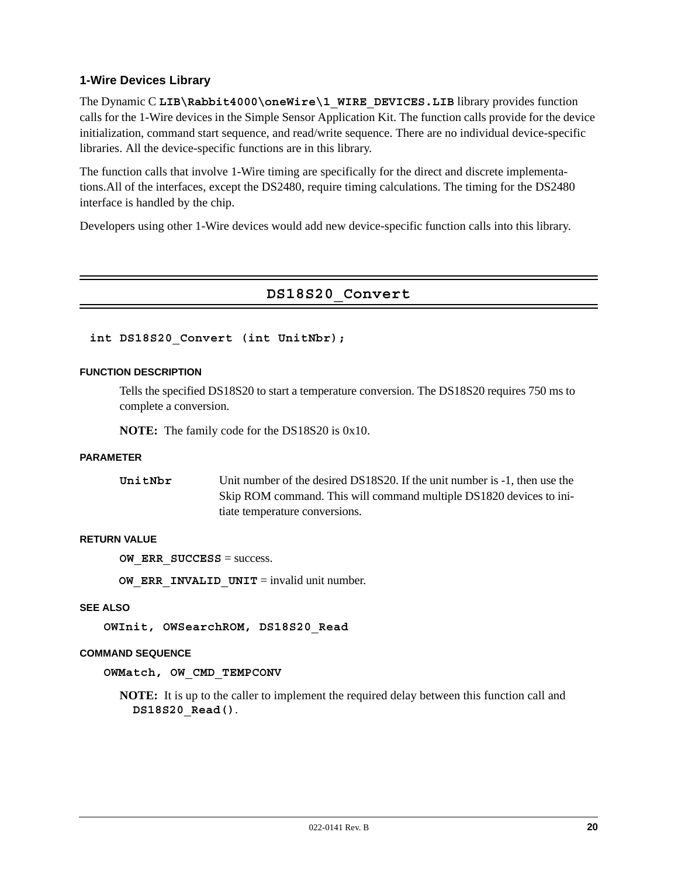### **1-Wire Devices Library**

The Dynamic C LIB\Rabbit4000\oneWire\1\_WIRE\_DEVICES.LIB library provides function calls for the 1-Wire devices in the Simple Sensor Application Kit. The function calls provide for the device initialization, command start sequence, and read/write sequence. There are no individual device-specific libraries. All the device-specific functions are in this library.

The function calls that involve 1-Wire timing are specifically for the direct and discrete implementations.All of the interfaces, except the DS2480, require timing calculations. The timing for the DS2480 interface is handled by the chip.

Developers using other 1-Wire devices would add new device-specific function calls into this library.

# **DS18S20\_Convert**

#### **int DS18S20\_Convert (int UnitNbr);**

#### **FUNCTION DESCRIPTION**

Tells the specified DS18S20 to start a temperature conversion. The DS18S20 requires 750 ms to complete a conversion.

**NOTE:** The family code for the DS18S20 is 0x10.

#### **PARAMETER**

| UnitNbr | Unit number of the desired DS18S20. If the unit number is -1, then use the |
|---------|----------------------------------------------------------------------------|
|         | Skip ROM command. This will command multiple DS1820 devices to ini-        |
|         | tiate temperature conversions.                                             |

#### **RETURN VALUE**

**OW ERR SUCCESS** = success.

**OW\_ERR\_INVALID\_UNIT** = invalid unit number.

#### **SEE ALSO**

**OWInit, OWSearchROM, DS18S20\_Read**

#### **COMMAND SEQUENCE**

**OWMatch, OW\_CMD\_TEMPCONV**

**NOTE:** It is up to the caller to implement the required delay between this function call and **DS18S20\_Read()**.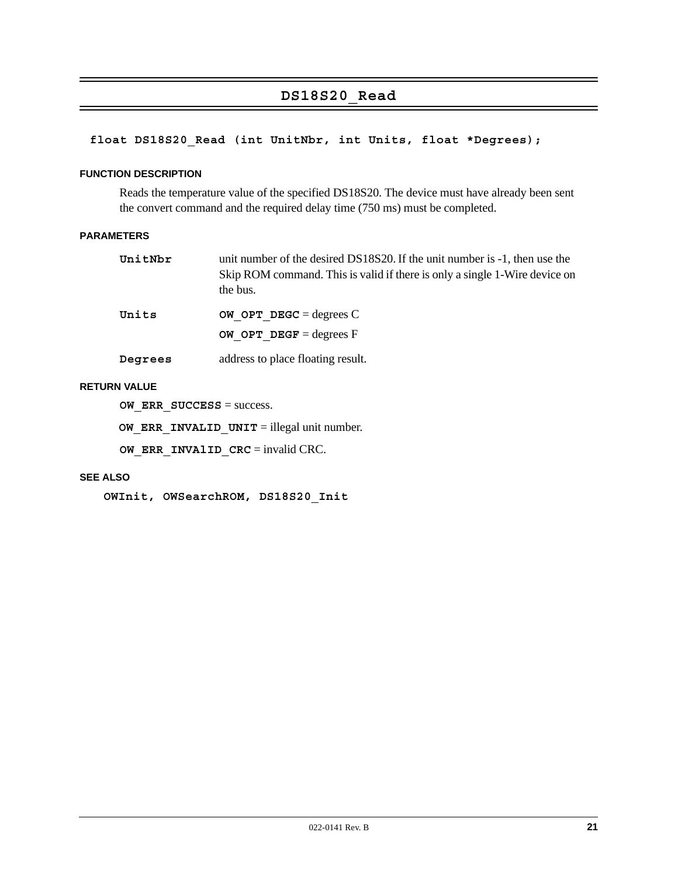# **DS18S20\_Read**

# **float DS18S20\_Read (int UnitNbr, int Units, float \*Degrees);**

#### **FUNCTION DESCRIPTION**

Reads the temperature value of the specified DS18S20. The device must have already been sent the convert command and the required delay time (750 ms) must be completed.

#### **PARAMETERS**

| UnitNbr | unit number of the desired DS18S20. If the unit number is -1, then use the<br>Skip ROM command. This is valid if there is only a single 1-Wire device on<br>the bus. |
|---------|----------------------------------------------------------------------------------------------------------------------------------------------------------------------|
| Units   | OW OPT DEGC = degrees $C$                                                                                                                                            |
|         | OW OPT DEGF = degrees $F$                                                                                                                                            |

**Degrees** address to place floating result.

#### **RETURN VALUE**

**OW ERR SUCCESS** = success.

**OW ERR INVALID UNIT** = illegal unit number.

**OW\_ERR\_INVAlID\_CRC** = invalid CRC.

#### **SEE ALSO**

**OWInit, OWSearchROM, DS18S20\_Init**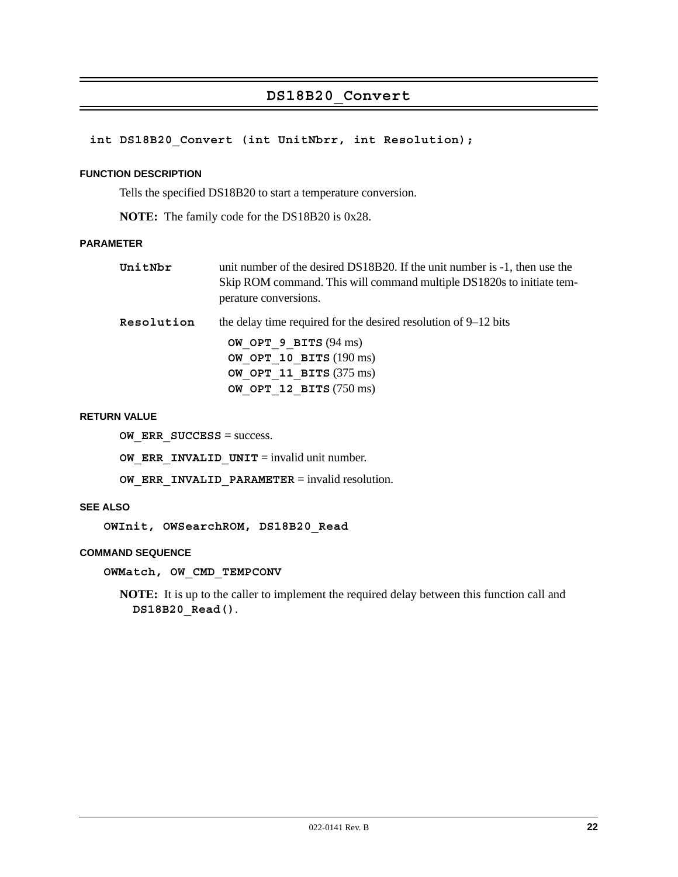# **DS18B20\_Convert**

### **int DS18B20\_Convert (int UnitNbrr, int Resolution);**

#### **FUNCTION DESCRIPTION**

Tells the specified DS18B20 to start a temperature conversion.

**NOTE:** The family code for the DS18B20 is 0x28.

#### **PARAMETER**

| UnitNbr | unit number of the desired DS18B20. If the unit number is $-1$ , then use the |
|---------|-------------------------------------------------------------------------------|
|         | Skip ROM command. This will command multiple DS1820s to initiate tem-         |
|         | perature conversions.                                                         |

**Resolution** the delay time required for the desired resolution of 9–12 bits

 **OW\_OPT\_9\_BITS** (94 ms) **OW\_OPT\_10\_BITS** (190 ms) **OW\_OPT\_11\_BITS** (375 ms) **OW\_OPT\_12\_BITS** (750 ms)

#### **RETURN VALUE**

**OW ERR SUCCESS** = success.

**OW ERR INVALID UNIT** = invalid unit number.

**OW ERR INVALID PARAMETER** = invalid resolution.

#### **SEE ALSO**

**OWInit, OWSearchROM, DS18B20\_Read**

#### **COMMAND SEQUENCE**

**OWMatch, OW\_CMD\_TEMPCONV**

**NOTE:** It is up to the caller to implement the required delay between this function call and **DS18B20\_Read()**.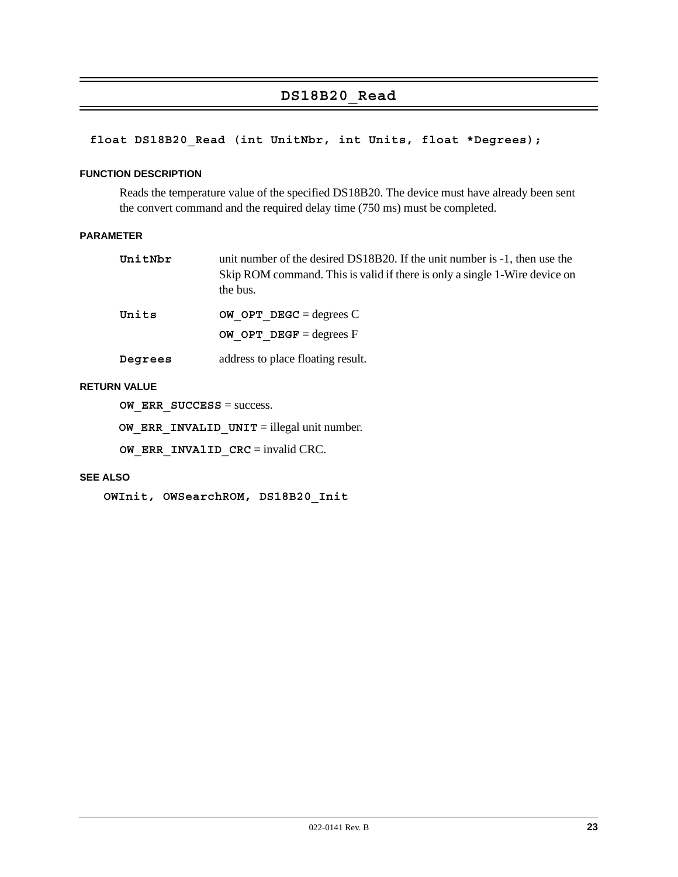# **DS18B20\_Read**

# **float DS18B20\_Read (int UnitNbr, int Units, float \*Degrees);**

#### **FUNCTION DESCRIPTION**

Reads the temperature value of the specified DS18B20. The device must have already been sent the convert command and the required delay time (750 ms) must be completed.

#### **PARAMETER**

|                   | Skip ROM command. This is valid if there is only a single 1-Wire device on |
|-------------------|----------------------------------------------------------------------------|
| the bus.<br>Units | OW OPT DEGC = degrees $C$                                                  |

**Degrees** address to place floating result.

**OW OPT DEGF** = degrees F

#### **RETURN VALUE**

**OW ERR SUCCESS** = success.

**OW ERR INVALID UNIT** = illegal unit number.

**OW\_ERR\_INVAlID\_CRC** = invalid CRC.

#### **SEE ALSO**

**OWInit, OWSearchROM, DS18B20\_Init**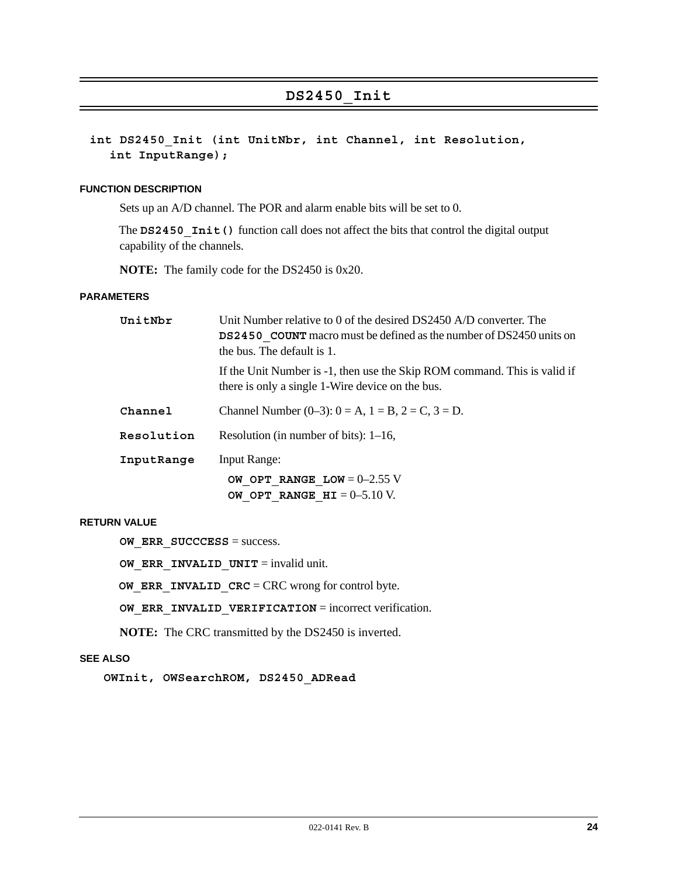# **DS2450\_Init**

# **int DS2450\_Init (int UnitNbr, int Channel, int Resolution, int InputRange);**

#### **FUNCTION DESCRIPTION**

Sets up an A/D channel. The POR and alarm enable bits will be set to 0.

The **DS2450** Init () function call does not affect the bits that control the digital output capability of the channels.

**NOTE:** The family code for the DS2450 is 0x20.

#### **PARAMETERS**

| UnitNbr    | Unit Number relative to 0 of the desired DS2450 A/D converter. The<br><b>DS2450</b> COUNT macro must be defined as the number of DS2450 units on<br>the bus. The default is 1. |  |  |
|------------|--------------------------------------------------------------------------------------------------------------------------------------------------------------------------------|--|--|
|            | If the Unit Number is -1, then use the Skip ROM command. This is valid if<br>there is only a single 1-Wire device on the bus.                                                  |  |  |
| Channel    | Channel Number (0–3): $0 = A$ , $1 = B$ , $2 = C$ , $3 = D$ .                                                                                                                  |  |  |
| Resolution | Resolution (in number of bits): $1-16$ ,                                                                                                                                       |  |  |
| InputRange | <b>Input Range:</b>                                                                                                                                                            |  |  |
|            | OW OPT RANGE LOW = $0-2.55$ V<br>OW OPT RANGE $HI = 0-5.10$ V.                                                                                                                 |  |  |
|            |                                                                                                                                                                                |  |  |

#### **RETURN VALUE**

**OW\_ERR\_SUCCCESS** = success.

**OW ERR INVALID UNIT** = invalid unit.

**OW ERR INVALID CRC** = CRC wrong for control byte.

**OW\_ERR\_INVALID\_VERIFICATION** = incorrect verification.

**NOTE:** The CRC transmitted by the DS2450 is inverted.

#### **SEE ALSO**

**OWInit, OWSearchROM, DS2450\_ADRead**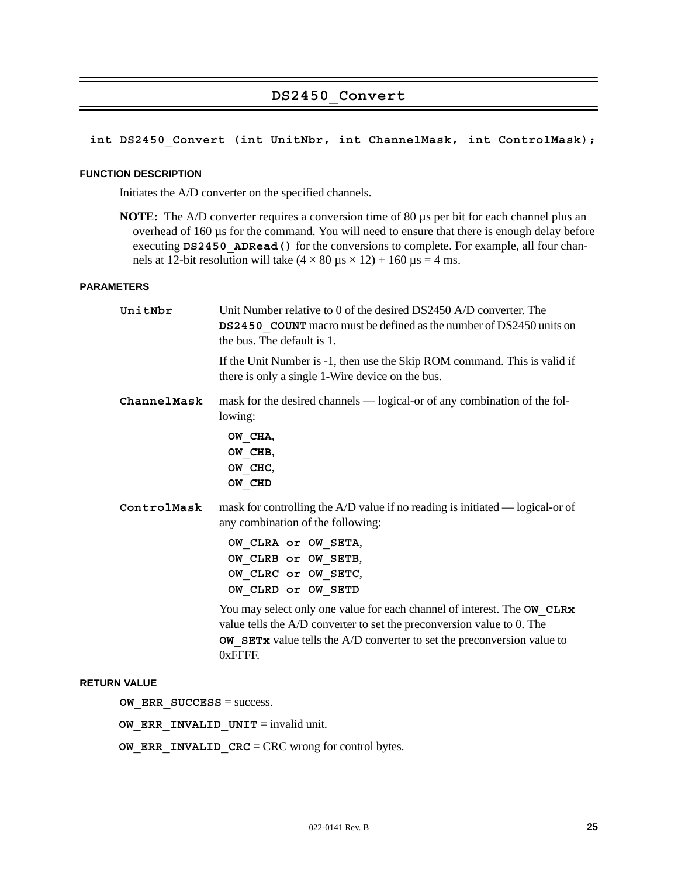# **DS2450\_Convert**

### **int DS2450\_Convert (int UnitNbr, int ChannelMask, int ControlMask);**

#### **FUNCTION DESCRIPTION**

Initiates the A/D converter on the specified channels.

**NOTE:** The A/D converter requires a conversion time of 80  $\mu$ s per bit for each channel plus an overhead of 160 µs for the command. You will need to ensure that there is enough delay before executing DS2450 ADRead () for the conversions to complete. For example, all four channels at 12-bit resolution will take  $(4 \times 80 \,\mu s \times 12) + 160 \,\mu s = 4 \,\text{ms}$ .

#### **PARAMETERS**

| UnitNbr     | Unit Number relative to 0 of the desired DS2450 A/D converter. The<br>DS2450_COUNT macro must be defined as the number of DS2450 units on<br>the bus. The default is 1.                                                                          |
|-------------|--------------------------------------------------------------------------------------------------------------------------------------------------------------------------------------------------------------------------------------------------|
|             | If the Unit Number is -1, then use the Skip ROM command. This is valid if<br>there is only a single 1-Wire device on the bus.                                                                                                                    |
| ChannelMask | mask for the desired channels — logical-or of any combination of the fol-<br>lowing:<br>OW CHA,                                                                                                                                                  |
|             | OW CHB,<br>OW CHC,<br>OW CHD                                                                                                                                                                                                                     |
| ControlMask | mask for controlling the $A/D$ value if no reading is initiated — logical-or of<br>any combination of the following:                                                                                                                             |
|             | OW CLRA or OW SETA,<br>OW CLRB or OW SETB,<br>OW CLRC or OW SETC,<br>OW CLRD or OW SETD                                                                                                                                                          |
|             | You may select only one value for each channel of interest. The OW CLRx<br>value tells the A/D converter to set the preconversion value to 0. The<br><b>OW SETx</b> value tells the $A/D$ converter to set the preconversion value to<br>0xFFFF. |

#### **RETURN VALUE**

**OW ERR SUCCESS** = success.

**OW\_ERR\_INVALID\_UNIT** = invalid unit.

**OW\_ERR\_INVALID\_CRC** = CRC wrong for control bytes.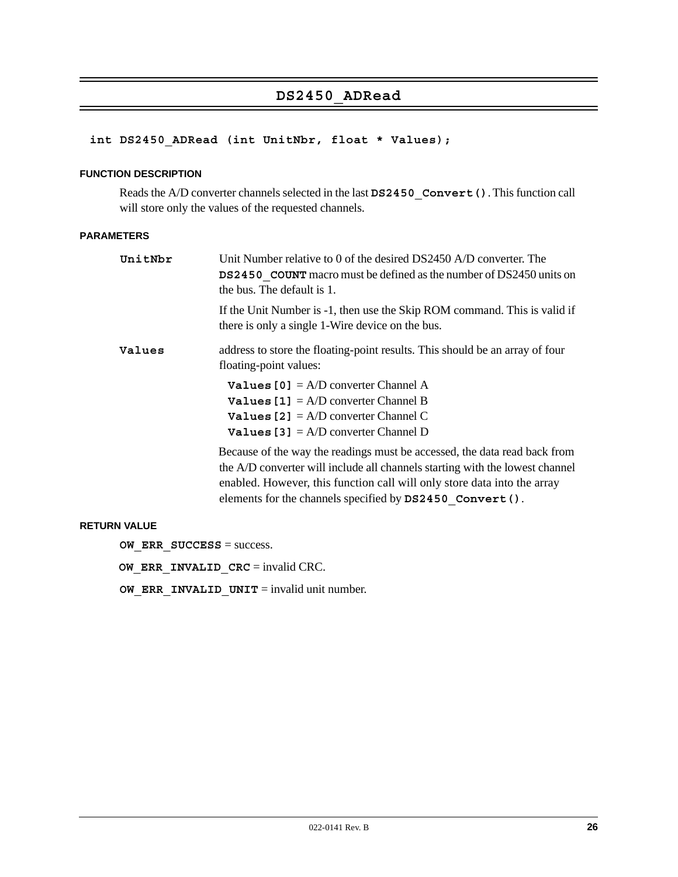# **DS2450\_ADRead**

# **int DS2450\_ADRead (int UnitNbr, float \* Values);**

#### **FUNCTION DESCRIPTION**

Reads the A/D converter channels selected in the last **DS2450\_Convert()**. This function call will store only the values of the requested channels.

#### **PARAMETERS**

| UnitNbr | Unit Number relative to 0 of the desired DS2450 A/D converter. The<br><b>DS2450</b> COUNT macro must be defined as the number of DS2450 units on<br>the bus. The default is 1.                                                                                                                     |
|---------|----------------------------------------------------------------------------------------------------------------------------------------------------------------------------------------------------------------------------------------------------------------------------------------------------|
|         | If the Unit Number is -1, then use the Skip ROM command. This is valid if<br>there is only a single 1-Wire device on the bus.                                                                                                                                                                      |
| Values  | address to store the floating-point results. This should be an array of four<br>floating-point values:                                                                                                                                                                                             |
|         | <b>Values [0]</b> = $A/D$ converter Channel A<br><b>Values [1]</b> = $A/D$ converter Channel B<br><b>Values</b> [2] = $A/D$ converter Channel C<br><b>Values</b> [3] = $A/D$ converter Channel D                                                                                                   |
|         | Because of the way the readings must be accessed, the data read back from<br>the A/D converter will include all channels starting with the lowest channel<br>enabled. However, this function call will only store data into the array<br>elements for the channels specified by DS2450 Convert (). |

#### **RETURN VALUE**

**OW ERR SUCCESS** = success.

**OW ERR INVALID CRC** = invalid CRC.

**OW\_ERR\_INVALID\_UNIT** = invalid unit number.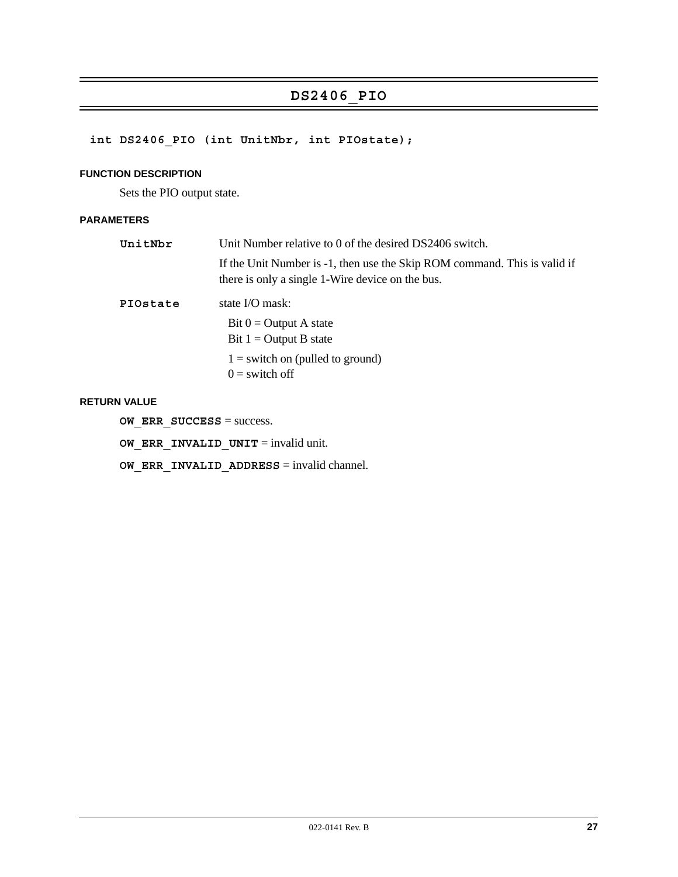# **DS2406\_PIO**

# **int DS2406\_PIO (int UnitNbr, int PIOstate);**

### **FUNCTION DESCRIPTION**

Sets the PIO output state.

# **PARAMETERS**

| UnitNbr  | Unit Number relative to 0 of the desired DS2406 switch.                                                                       |  |  |
|----------|-------------------------------------------------------------------------------------------------------------------------------|--|--|
|          | If the Unit Number is -1, then use the Skip ROM command. This is valid if<br>there is only a single 1-Wire device on the bus. |  |  |
| PIOstate | state I/O mask:                                                                                                               |  |  |
|          | Bit $0 =$ Output A state                                                                                                      |  |  |
|          | Bit $1 =$ Output B state                                                                                                      |  |  |
|          | $1 =$ switch on (pulled to ground)                                                                                            |  |  |
|          | $0 =$ switch off                                                                                                              |  |  |

#### **RETURN VALUE**

**OW\_ERR\_SUCCESS** = success.

**OW\_ERR\_INVALID\_UNIT** = invalid unit.

**OW\_ERR\_INVALID\_ADDRESS** = invalid channel.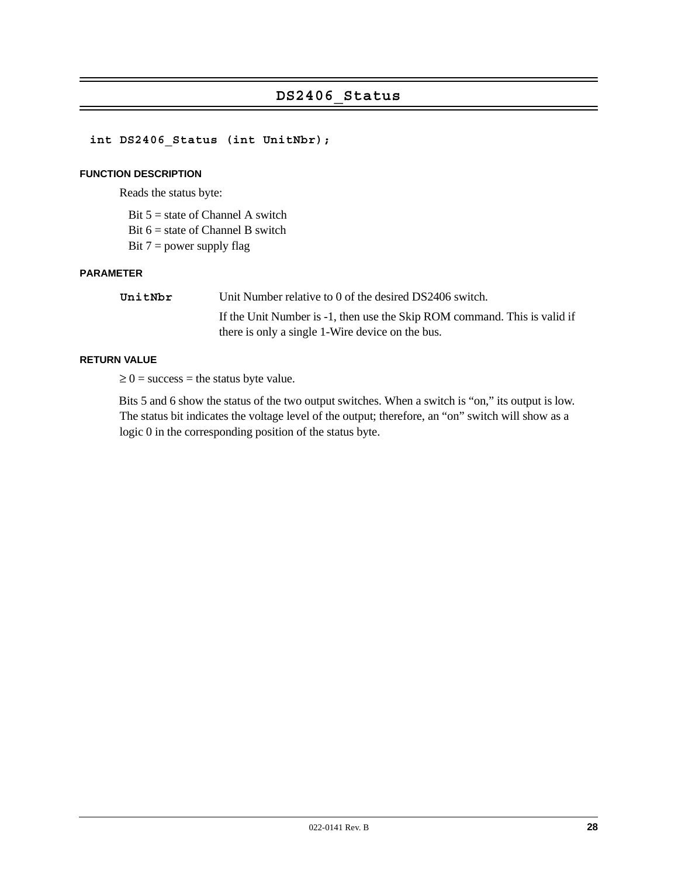# **DS2406\_Status**

### **int DS2406\_Status (int UnitNbr);**

#### **FUNCTION DESCRIPTION**

Reads the status byte:

Bit  $5 =$  state of Channel A switch

Bit  $6 =$  state of Channel B switch

Bit  $7 = power$  supply flag

#### **PARAMETER**

| UnitNbr | Unit Number relative to 0 of the desired DS2406 switch.                   |
|---------|---------------------------------------------------------------------------|
|         | If the Unit Number is -1, then use the Skip ROM command. This is valid if |
|         | there is only a single 1-Wire device on the bus.                          |

#### **RETURN VALUE**

 $\geq 0$  = success = the status byte value.

Bits 5 and 6 show the status of the two output switches. When a switch is "on," its output is low. The status bit indicates the voltage level of the output; therefore, an "on" switch will show as a logic 0 in the corresponding position of the status byte.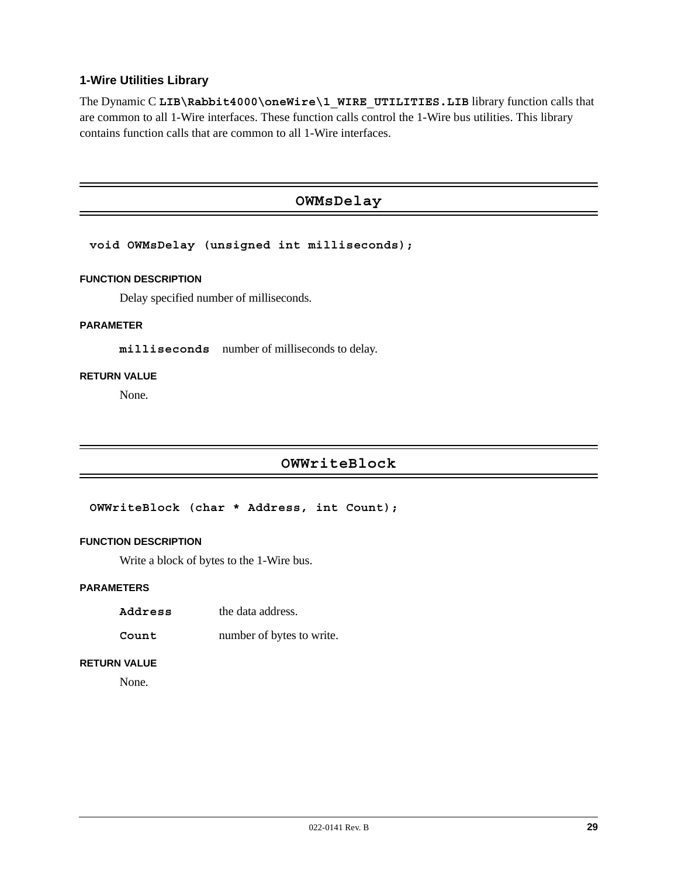# **1-Wire Utilities Library**

The Dynamic C LIB\Rabbit4000\oneWire\1\_WIRE\_UTILITIES.LIB library function calls that are common to all 1-Wire interfaces. These function calls control the 1-Wire bus utilities. This library contains function calls that are common to all 1-Wire interfaces.

# **OWMsDelay**

#### **void OWMsDelay (unsigned int milliseconds);**

#### **FUNCTION DESCRIPTION**

Delay specified number of milliseconds.

#### **PARAMETER**

**milliseconds** number of milliseconds to delay.

#### **RETURN VALUE**

None.

# **OWWriteBlock**

**OWWriteBlock (char \* Address, int Count);**

#### **FUNCTION DESCRIPTION**

Write a block of bytes to the 1-Wire bus.

#### **PARAMETERS**

- **Address** the data address.
- **Count** number of bytes to write.

#### **RETURN VALUE**

None.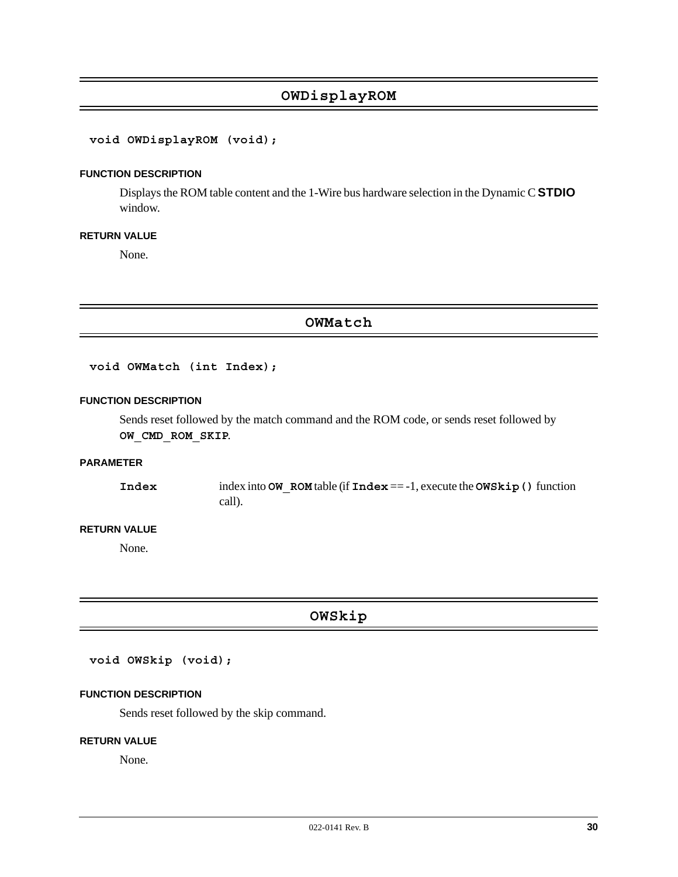# **OWDisplayROM**

### **void OWDisplayROM (void);**

#### **FUNCTION DESCRIPTION**

Displays the ROM table content and the 1-Wire bus hardware selection in the Dynamic C **STDIO** window.

#### **RETURN VALUE**

None.

**OWMatch**

**void OWMatch (int Index);**

#### **FUNCTION DESCRIPTION**

Sends reset followed by the match command and the ROM code, or sends reset followed by **OW\_CMD\_ROM\_SKIP**.

#### **PARAMETER**

**Index** index into **OW\_ROM** table (if **Index** == -1, execute the **OWSkip()** function call).

#### **RETURN VALUE**

None.

**OWSkip**

**void OWSkip (void);**

#### **FUNCTION DESCRIPTION**

Sends reset followed by the skip command.

#### **RETURN VALUE**

None.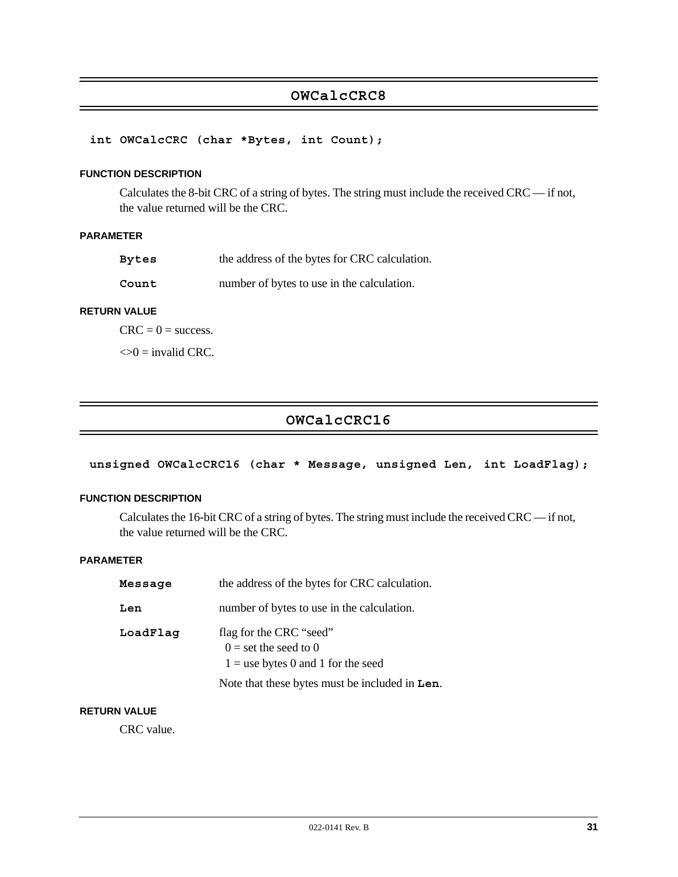# **OWCalcCRC8**

**int OWCalcCRC (char \*Bytes, int Count);**

#### **FUNCTION DESCRIPTION**

Calculates the 8-bit CRC of a string of bytes. The string must include the received CRC — if not, the value returned will be the CRC.

#### **PARAMETER**

| Bytes | the address of the bytes for CRC calculation. |
|-------|-----------------------------------------------|
|-------|-----------------------------------------------|

**Count** number of bytes to use in the calculation.

#### **RETURN VALUE**

 $CRC = 0 = success.$ 

 $\ll 0$  = invalid CRC.

# **OWCalcCRC16**

# **unsigned OWCalcCRC16 (char \* Message, unsigned Len, int LoadFlag);**

#### **FUNCTION DESCRIPTION**

Calculates the 16-bit CRC of a string of bytes. The string must include the received CRC — if not, the value returned will be the CRC.

### **PARAMETER**

| Message  | the address of the bytes for CRC calculation.                                                                                                |
|----------|----------------------------------------------------------------------------------------------------------------------------------------------|
| Len      | number of bytes to use in the calculation.                                                                                                   |
| LoadFlag | flag for the CRC "seed"<br>$0 =$ set the seed to 0<br>$1 =$ use bytes 0 and 1 for the seed<br>Note that these bytes must be included in Len. |

#### **RETURN VALUE**

CRC value.

 $\overline{\phantom{0}}$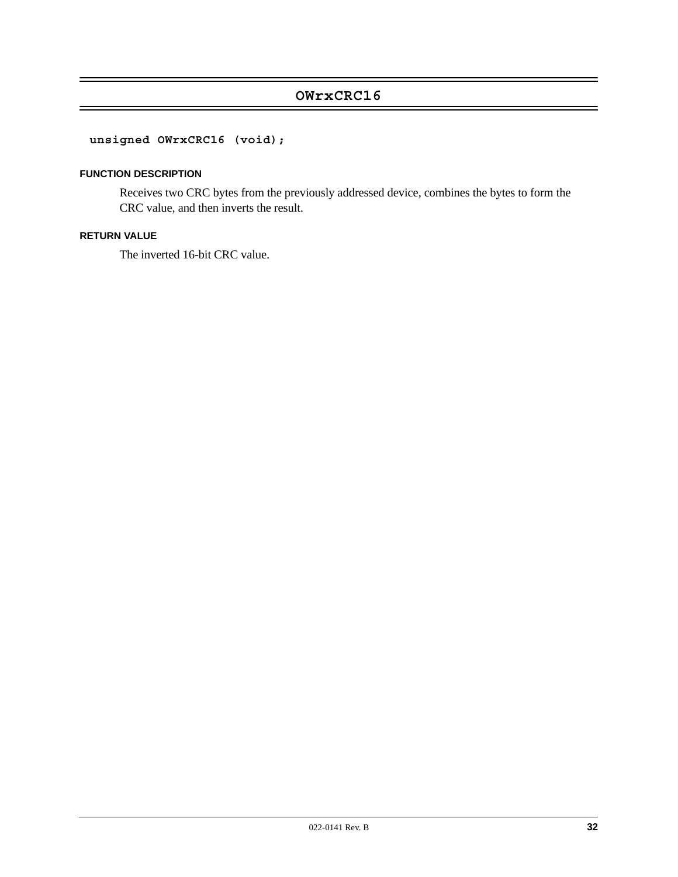# **OWrxCRC16**

# **unsigned OWrxCRC16 (void);**

### **FUNCTION DESCRIPTION**

Receives two CRC bytes from the previously addressed device, combines the bytes to form the CRC value, and then inverts the result.

#### **RETURN VALUE**

The inverted 16-bit CRC value.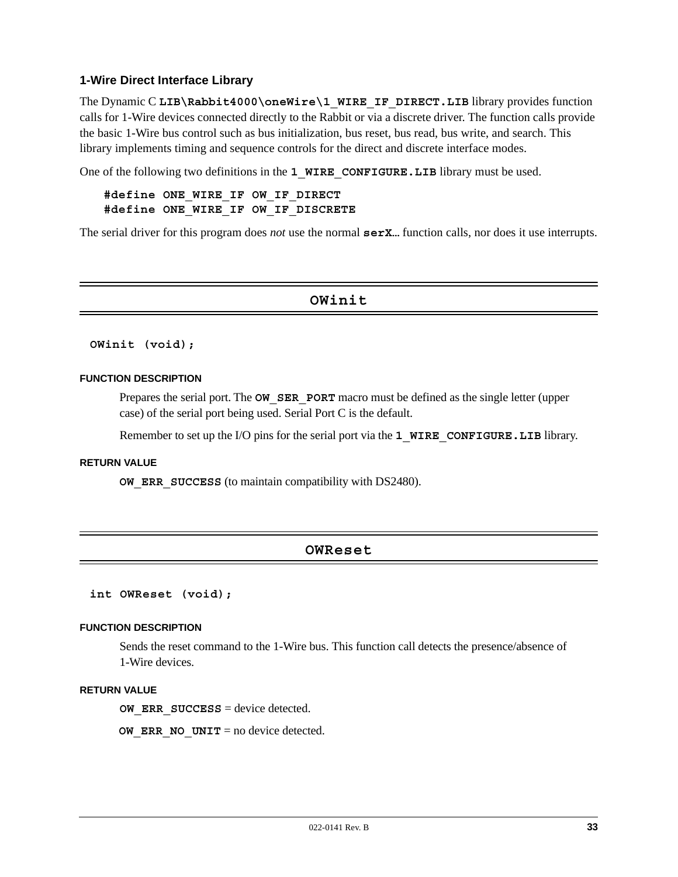#### **1-Wire Direct Interface Library**

The Dynamic C LIB\Rabbit4000\oneWire\1 WIRE IF DIRECT.LIB library provides function calls for 1-Wire devices connected directly to the Rabbit or via a discrete driver. The function calls provide the basic 1-Wire bus control such as bus initialization, bus reset, bus read, bus write, and search. This library implements timing and sequence controls for the direct and discrete interface modes.

One of the following two definitions in the **1 WIRE CONFIGURE. LIB** library must be used.

### **#define ONE\_WIRE\_IF OW\_IF\_DIRECT #define ONE\_WIRE\_IF OW\_IF\_DISCRETE**

The serial driver for this program does *not* use the normal **serX…** function calls, nor does it use interrupts.

#### **OWinit**

#### **OWinit (void);**

#### **FUNCTION DESCRIPTION**

Prepares the serial port. The **OW SER PORT** macro must be defined as the single letter (upper case) of the serial port being used. Serial Port C is the default.

Remember to set up the I/O pins for the serial port via the **1\_WIRE\_CONFIGURE.LIB** library.

#### **RETURN VALUE**

**OW\_ERR\_SUCCESS** (to maintain compatibility with DS2480).

# **OWReset**

**int OWReset (void);**

#### **FUNCTION DESCRIPTION**

Sends the reset command to the 1-Wire bus. This function call detects the presence/absence of 1-Wire devices.

#### **RETURN VALUE**

**OW ERR SUCCESS** = device detected.

**OW ERR NO UNIT** = no device detected.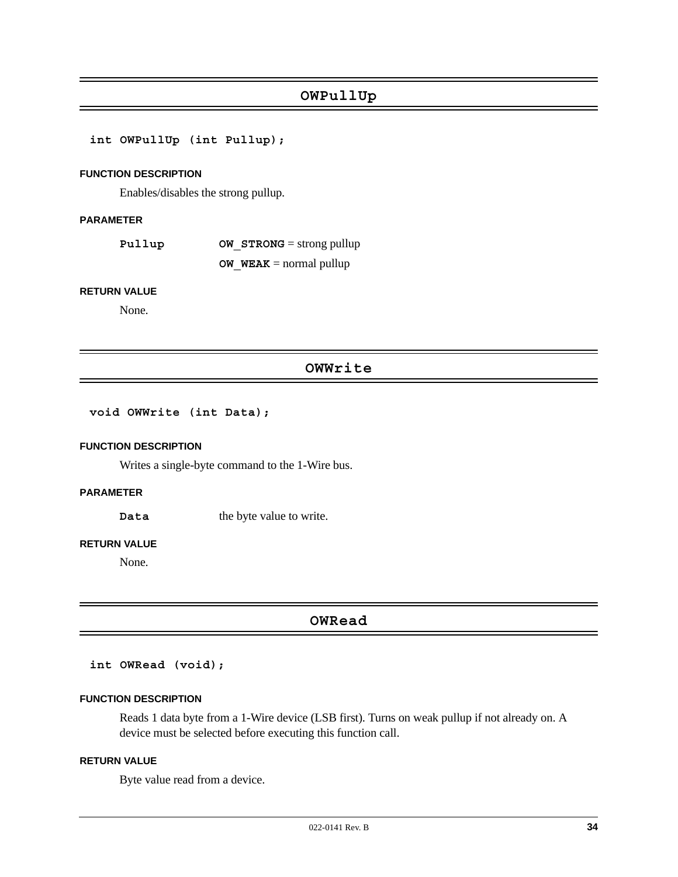# **OWPullUp**

**int OWPullUp (int Pullup);**

#### **FUNCTION DESCRIPTION**

Enables/disables the strong pullup.

#### **PARAMETER**

**Pullup OW STRONG** = strong pullup **OW**  $W$ **EAK** = normal pullup

#### **RETURN VALUE**

None.

## **OWWrite**

#### **void OWWrite (int Data);**

#### **FUNCTION DESCRIPTION**

Writes a single-byte command to the 1-Wire bus.

#### **PARAMETER**

**Data** the byte value to write.

#### **RETURN VALUE**

None.

# **OWRead**

#### **int OWRead (void);**

#### **FUNCTION DESCRIPTION**

Reads 1 data byte from a 1-Wire device (LSB first). Turns on weak pullup if not already on. A device must be selected before executing this function call.

#### **RETURN VALUE**

Byte value read from a device.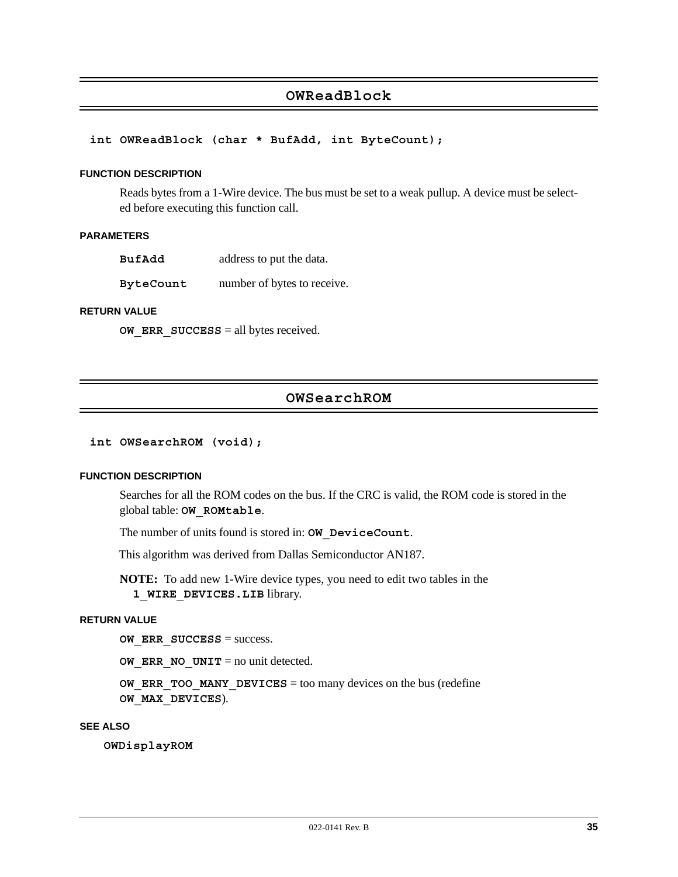# **OWReadBlock**

#### **int OWReadBlock (char \* BufAdd, int ByteCount);**

#### **FUNCTION DESCRIPTION**

Reads bytes from a 1-Wire device. The bus must be set to a weak pullup. A device must be selected before executing this function call.

#### **PARAMETERS**

**BufAdd** address to put the data.

**ByteCount** number of bytes to receive.

#### **RETURN VALUE**

**OW ERR SUCCESS** = all bytes received.

# **OWSearchROM**

#### **int OWSearchROM (void);**

#### **FUNCTION DESCRIPTION**

Searches for all the ROM codes on the bus. If the CRC is valid, the ROM code is stored in the global table: **OW\_ROMtable**.

The number of units found is stored in: **OW\_DeviceCount**.

This algorithm was derived from Dallas Semiconductor AN187.

**NOTE:** To add new 1-Wire device types, you need to edit two tables in the **1\_WIRE\_DEVICES.LIB** library.

#### **RETURN VALUE**

**OW ERR SUCCESS** = success.

**OW ERR NO UNIT** = no unit detected.

**OW ERR TOO MANY DEVICES** = too many devices on the bus (redefine **OW\_MAX\_DEVICES**).

### **SEE ALSO**

**OWDisplayROM**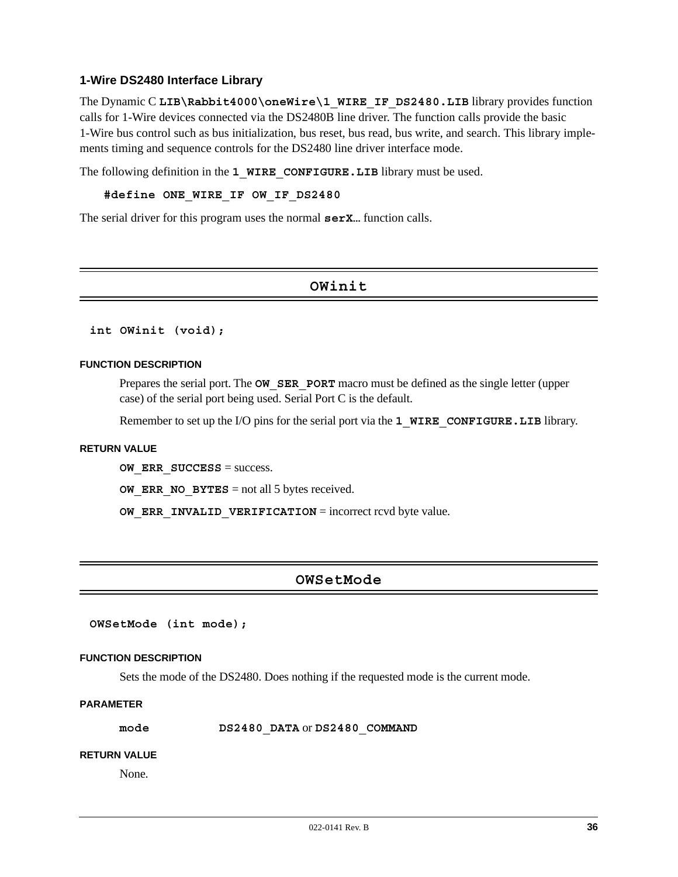#### **1-Wire DS2480 Interface Library**

The Dynamic C LIB\Rabbit4000\oneWire\1\_WIRE\_IF\_DS2480.LIB library provides function calls for 1-Wire devices connected via the DS2480B line driver. The function calls provide the basic 1-Wire bus control such as bus initialization, bus reset, bus read, bus write, and search. This library implements timing and sequence controls for the DS2480 line driver interface mode.

The following definition in the **1 WIRE CONFIGURE. LIB** library must be used.

#### **#define ONE\_WIRE\_IF OW\_IF\_DS2480**

The serial driver for this program uses the normal **serX.** function calls.

# **OWinit**

**int OWinit (void);**

#### **FUNCTION DESCRIPTION**

Prepares the serial port. The **OW SER PORT** macro must be defined as the single letter (upper case) of the serial port being used. Serial Port C is the default.

Remember to set up the I/O pins for the serial port via the **1\_WIRE\_CONFIGURE.LIB** library.

#### **RETURN VALUE**

**OW ERR SUCCESS** = success.

**OW ERR NO BYTES** = not all 5 bytes received.

**OW ERR INVALID VERIFICATION** = incorrect rcvd byte value.

# **OWSetMode**

**OWSetMode (int mode);**

#### **FUNCTION DESCRIPTION**

Sets the mode of the DS2480. Does nothing if the requested mode is the current mode.

#### **PARAMETER**

**mode DS2480\_DATA** or **DS2480\_COMMAND**

#### **RETURN VALUE**

None.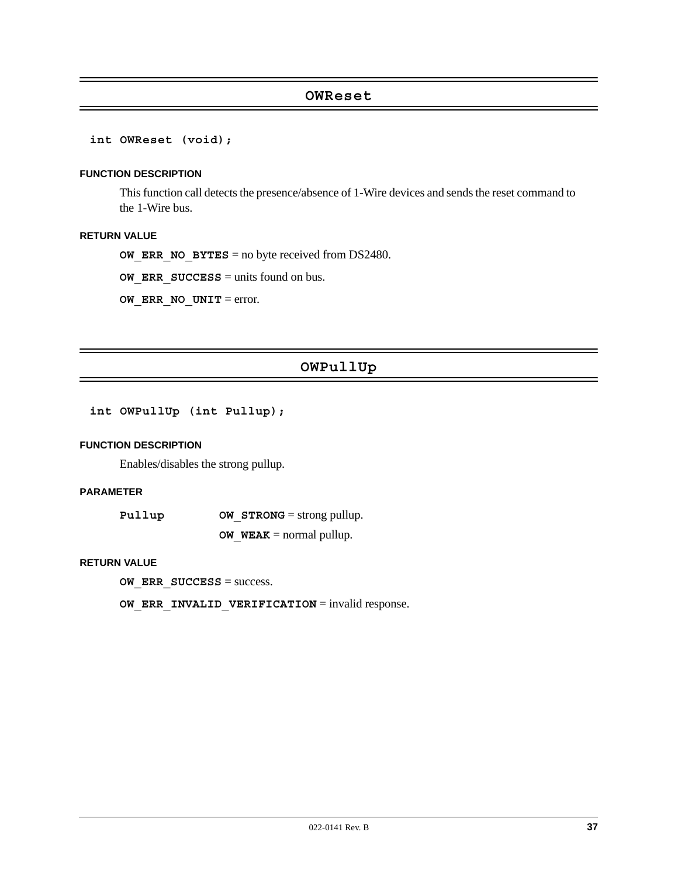#### **OWReset**

**int OWReset (void);**

#### **FUNCTION DESCRIPTION**

This function call detects the presence/absence of 1-Wire devices and sends the reset command to the 1-Wire bus.

#### **RETURN VALUE**

**OW ERR NO BYTES** = no byte received from DS2480.

**OW ERR SUCCESS** = units found on bus.

**OW ERR NO UNIT** = error.

# **OWPullUp**

**int OWPullUp (int Pullup);**

#### **FUNCTION DESCRIPTION**

Enables/disables the strong pullup.

#### **PARAMETER**

| Pullup | <b>OW STRONG</b> = strong pullup. |
|--------|-----------------------------------|
|        | <b>OW WEAK</b> = normal pullup.   |

#### **RETURN VALUE**

**OW\_ERR\_SUCCESS** = success.

**OW ERR INVALID VERIFICATION** = invalid response.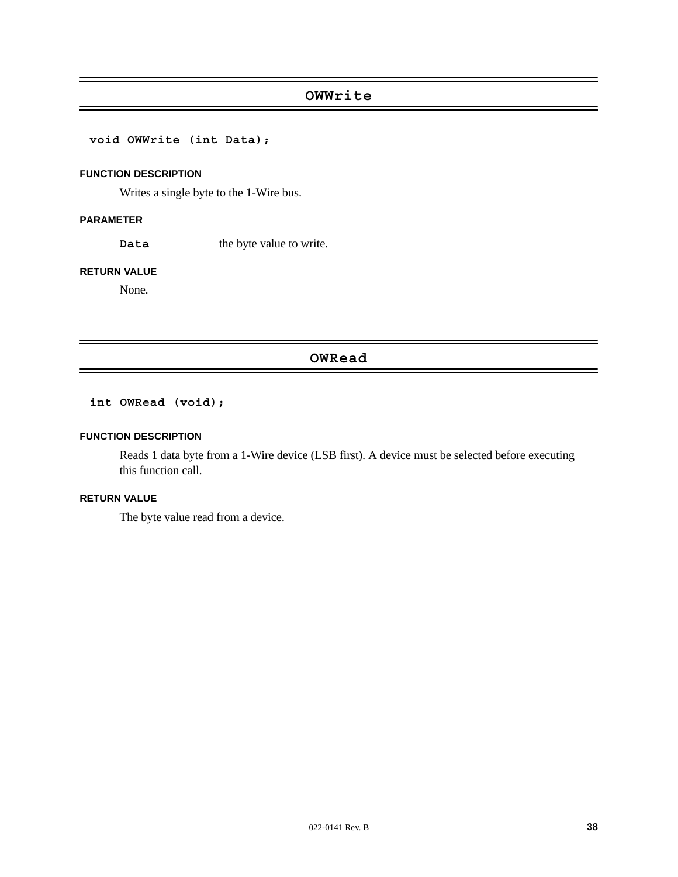# **OWWrite**

**void OWWrite (int Data);**

#### **FUNCTION DESCRIPTION**

Writes a single byte to the 1-Wire bus.

#### **PARAMETER**

Data the byte value to write.

#### **RETURN VALUE**

None.

# **OWRead**

# **int OWRead (void);**

#### **FUNCTION DESCRIPTION**

Reads 1 data byte from a 1-Wire device (LSB first). A device must be selected before executing this function call.

#### **RETURN VALUE**

The byte value read from a device.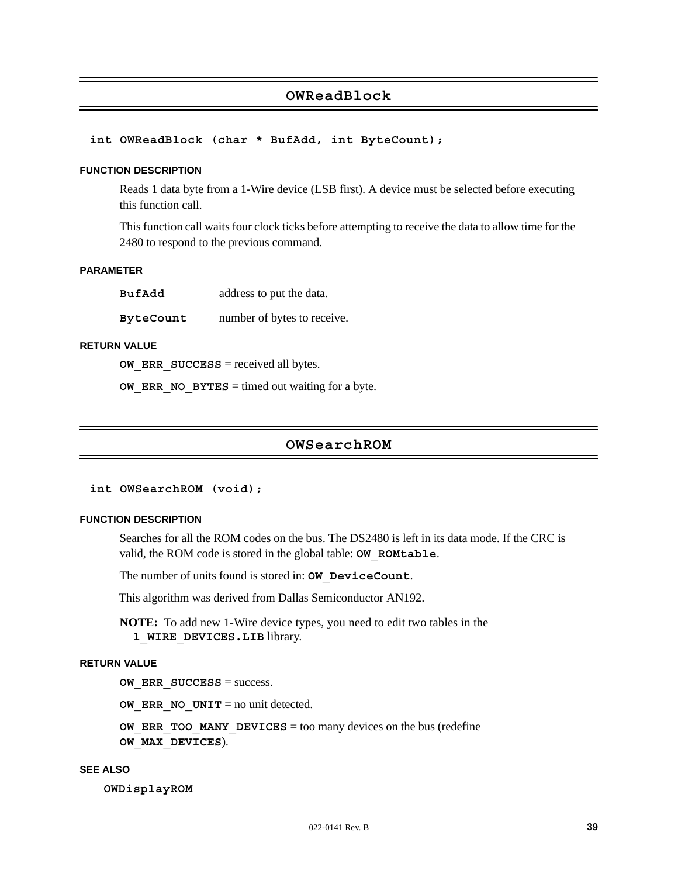# **OWReadBlock**

#### **int OWReadBlock (char \* BufAdd, int ByteCount);**

#### **FUNCTION DESCRIPTION**

Reads 1 data byte from a 1-Wire device (LSB first). A device must be selected before executing this function call.

This function call waits four clock ticks before attempting to receive the data to allow time for the 2480 to respond to the previous command.

#### **PARAMETER**

| BufAdd           | address to put the data.    |
|------------------|-----------------------------|
| <b>ByteCount</b> | number of bytes to receive. |

#### **RETURN VALUE**

**OW ERR SUCCESS** = received all bytes.

**OW ERR NO BYTES** = timed out waiting for a byte.

### **OWSearchROM**

**int OWSearchROM (void);**

#### **FUNCTION DESCRIPTION**

Searches for all the ROM codes on the bus. The DS2480 is left in its data mode. If the CRC is valid, the ROM code is stored in the global table: **OW\_ROMtable**.

The number of units found is stored in: **OW\_DeviceCount**.

This algorithm was derived from Dallas Semiconductor AN192.

**NOTE:** To add new 1-Wire device types, you need to edit two tables in the **1\_WIRE\_DEVICES.LIB** library.

#### **RETURN VALUE**

**OW ERR SUCCESS** = success.

**OW ERR NO UNIT** = no unit detected.

**OW ERR TOO MANY DEVICES** = too many devices on the bus (redefine **OW\_MAX\_DEVICES**).

#### **SEE ALSO**

**OWDisplayROM**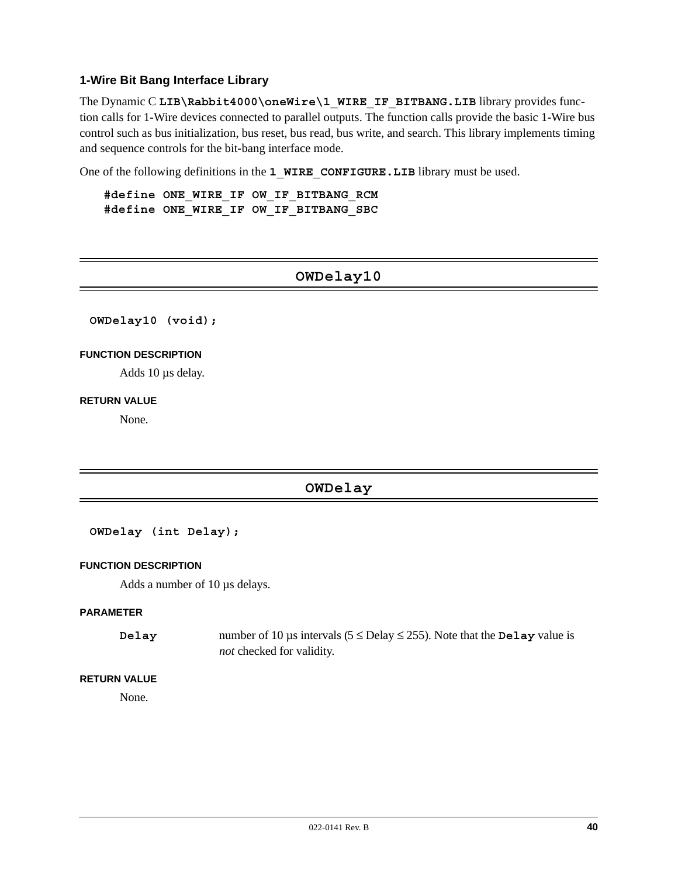#### **1-Wire Bit Bang Interface Library**

The Dynamic C LIB\Rabbit4000\oneWire\1\_WIRE\_IF\_BITBANG.LIB library provides function calls for 1-Wire devices connected to parallel outputs. The function calls provide the basic 1-Wire bus control such as bus initialization, bus reset, bus read, bus write, and search. This library implements timing and sequence controls for the bit-bang interface mode.

One of the following definitions in the **1 WIRE CONFIGURE. LIB** library must be used.

**#define ONE\_WIRE\_IF OW\_IF\_BITBANG\_RCM #define ONE\_WIRE\_IF OW\_IF\_BITBANG\_SBC**

# **OWDelay10**

**OWDelay10 (void);**

#### **FUNCTION DESCRIPTION**

Adds 10 µs delay.

#### **RETURN VALUE**

None.

# **OWDelay**

#### **OWDelay (int Delay);**

#### **FUNCTION DESCRIPTION**

Adds a number of 10 µs delays.

#### **PARAMETER**

**Delay** number of 10  $\mu$ s intervals (5  $\leq$  Delay  $\leq$  255). Note that the **Delay** value is *not* checked for validity.

#### **RETURN VALUE**

None.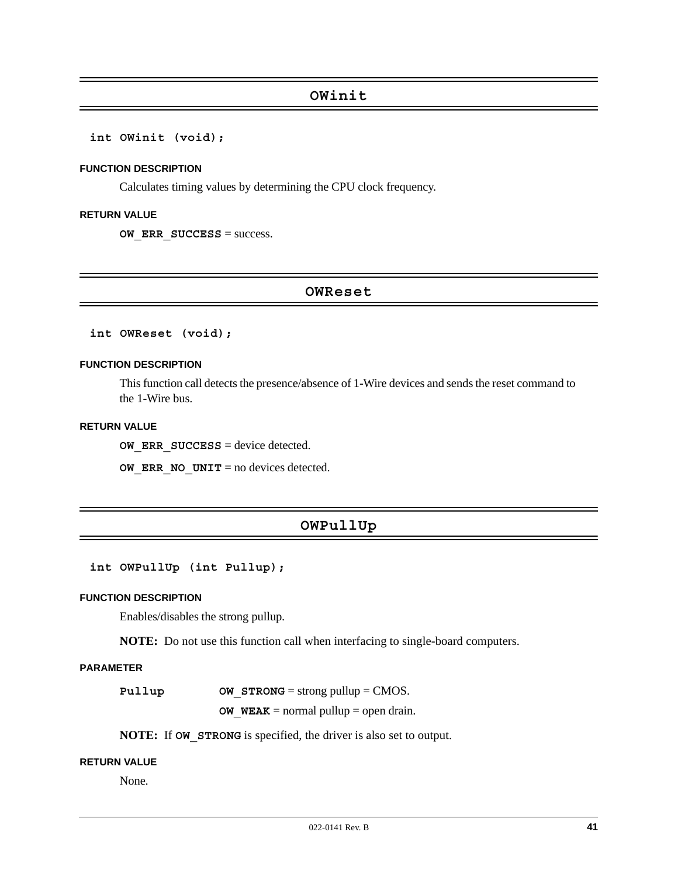#### **int OWinit (void);**

#### **FUNCTION DESCRIPTION**

Calculates timing values by determining the CPU clock frequency.

#### **RETURN VALUE**

**OW ERR SUCCESS** = success.

### **OWReset**

**int OWReset (void);**

#### **FUNCTION DESCRIPTION**

This function call detects the presence/absence of 1-Wire devices and sends the reset command to the 1-Wire bus.

#### **RETURN VALUE**

**OW ERR SUCCESS** = device detected.

**OW ERR NO UNIT** = no devices detected.

# **OWPullUp**

**int OWPullUp (int Pullup);**

#### **FUNCTION DESCRIPTION**

Enables/disables the strong pullup.

**NOTE:** Do not use this function call when interfacing to single-board computers.

#### **PARAMETER**

**Pullup OW STRONG** = strong pullup = CMOS.

**OW\_WEAK** = normal pullup = open drain.

**NOTE:** If **OW STRONG** is specified, the driver is also set to output.

### **RETURN VALUE**

None.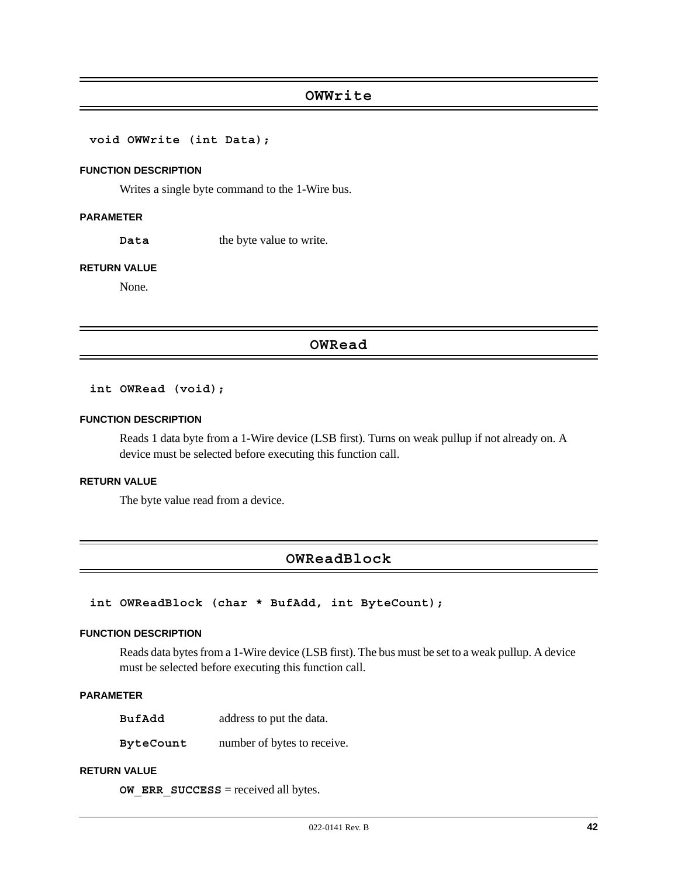### **OWWrite**

**void OWWrite (int Data);**

#### **FUNCTION DESCRIPTION**

Writes a single byte command to the 1-Wire bus.

#### **PARAMETER**

**Data** the byte value to write.

#### **RETURN VALUE**

None.

#### **OWRead**

#### **int OWRead (void);**

#### **FUNCTION DESCRIPTION**

Reads 1 data byte from a 1-Wire device (LSB first). Turns on weak pullup if not already on. A device must be selected before executing this function call.

### **RETURN VALUE**

The byte value read from a device.

### **OWReadBlock**

#### **int OWReadBlock (char \* BufAdd, int ByteCount);**

#### **FUNCTION DESCRIPTION**

Reads data bytes from a 1-Wire device (LSB first). The bus must be set to a weak pullup. A device must be selected before executing this function call.

#### **PARAMETER**

**BufAdd** address to put the data.

**ByteCount** number of bytes to receive.

### **RETURN VALUE**

**OW ERR SUCCESS** = received all bytes.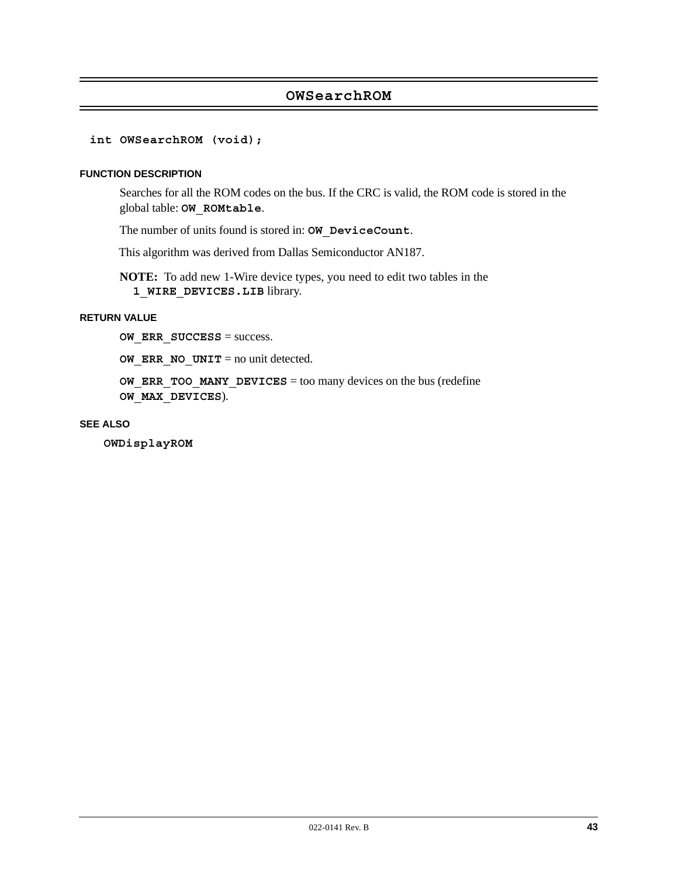# **OWSearchROM**

#### **int OWSearchROM (void);**

#### **FUNCTION DESCRIPTION**

Searches for all the ROM codes on the bus. If the CRC is valid, the ROM code is stored in the global table: **OW\_ROMtable**.

The number of units found is stored in: **OW\_DeviceCount**.

This algorithm was derived from Dallas Semiconductor AN187.

**NOTE:** To add new 1-Wire device types, you need to edit two tables in the **1\_WIRE\_DEVICES.LIB** library.

### **RETURN VALUE**

**OW ERR SUCCESS** = success.

**OW ERR NO UNIT** = no unit detected.

**OW ERR TOO MANY DEVICES** = too many devices on the bus (redefine **OW\_MAX\_DEVICES**).

#### **SEE ALSO**

**OWDisplayROM**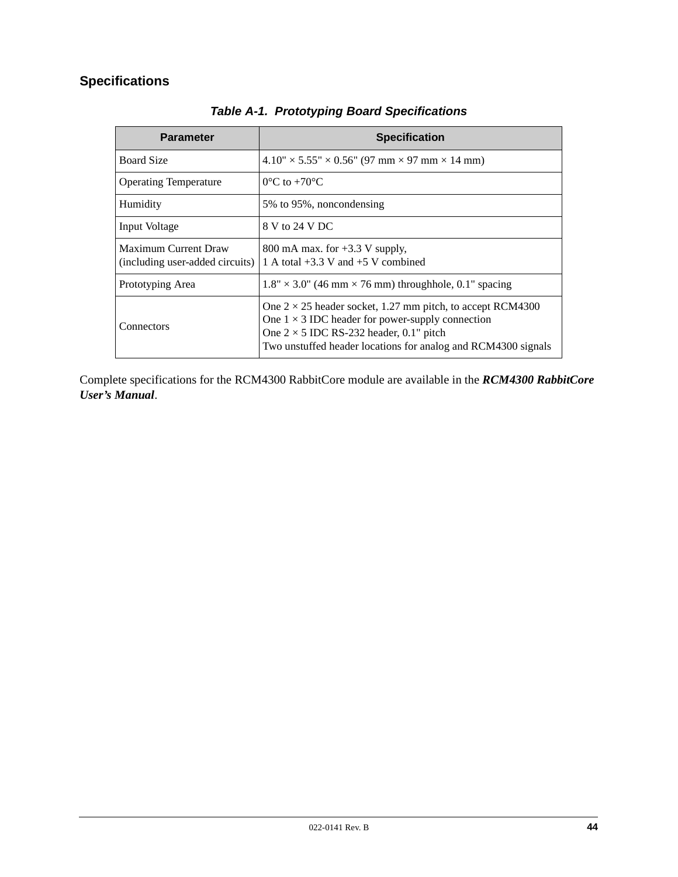# **Specifications**

| <b>Parameter</b>                                               | <b>Specification</b>                                                                                                                                                                                                                            |
|----------------------------------------------------------------|-------------------------------------------------------------------------------------------------------------------------------------------------------------------------------------------------------------------------------------------------|
| <b>Board Size</b>                                              | $4.10'' \times 5.55'' \times 0.56''$ (97 mm $\times$ 97 mm $\times$ 14 mm)                                                                                                                                                                      |
| <b>Operating Temperature</b>                                   | $0^{\circ}$ C to +70 $^{\circ}$ C                                                                                                                                                                                                               |
| Humidity                                                       | 5% to 95%, noncondensing                                                                                                                                                                                                                        |
| Input Voltage                                                  | 8 V to 24 V DC                                                                                                                                                                                                                                  |
| <b>Maximum Current Draw</b><br>(including user-added circuits) | 800 mA max. for $+3.3$ V supply,<br>1 A total $+3.3$ V and $+5$ V combined                                                                                                                                                                      |
| Prototyping Area                                               | $1.8" \times 3.0"$ (46 mm $\times$ 76 mm) throughhole, 0.1" spacing                                                                                                                                                                             |
| Connectors                                                     | One $2 \times 25$ header socket, 1.27 mm pitch, to accept RCM4300<br>One $1 \times 3$ IDC header for power-supply connection<br>One $2 \times 5$ IDC RS-232 header, 0.1" pitch<br>Two unstuffed header locations for analog and RCM4300 signals |

*Table A-1. Prototyping Board Specifications*

Complete specifications for the RCM4300 RabbitCore module are available in the *RCM4300 RabbitCore User's Manual*.